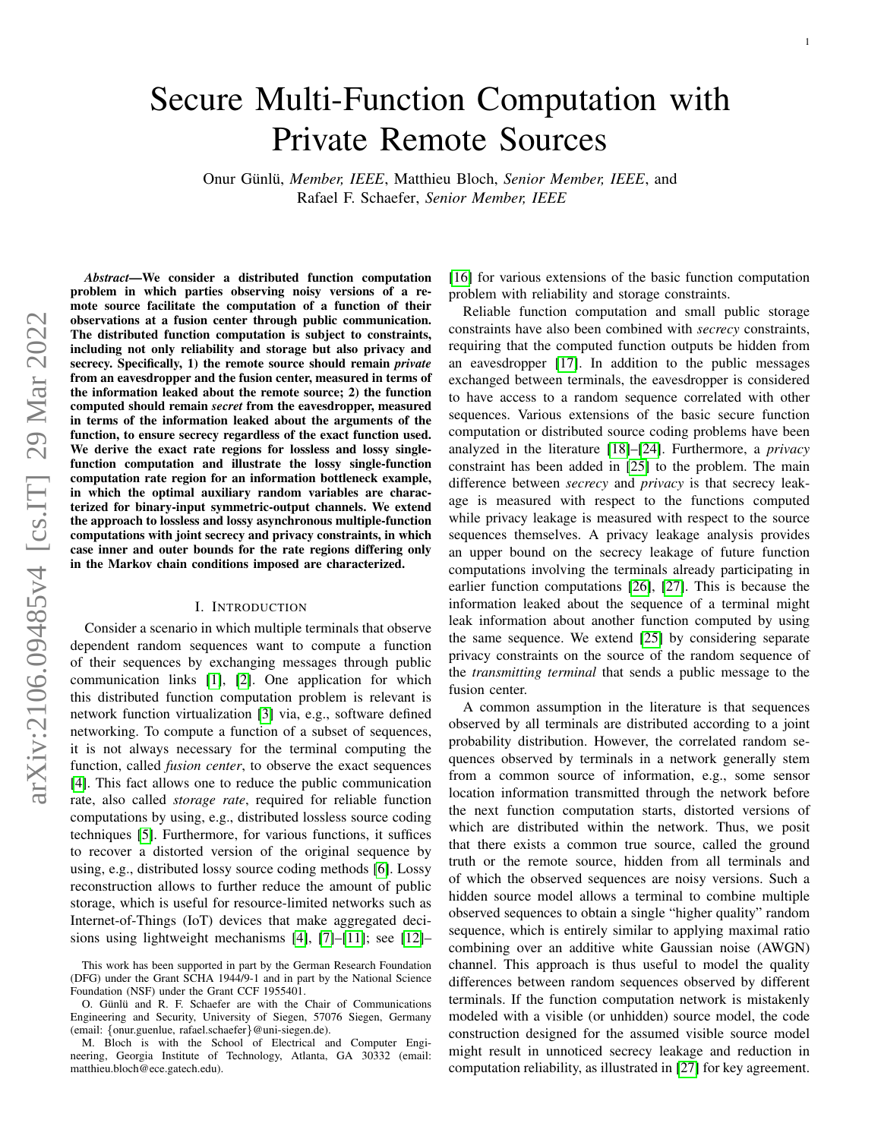# Secure Multi-Function Computation with Private Remote Sources

Onur Günlü, Member, IEEE, Matthieu Bloch, Senior Member, IEEE, and Rafael F. Schaefer, *Senior Member, IEEE*

*Abstract*—We consider a distributed function computation problem in which parties observing noisy versions of a remote source facilitate the computation of a function of their observations at a fusion center through public communication. The distributed function computation is subject to constraints, including not only reliability and storage but also privacy and secrecy. Specifically, 1) the remote source should remain *private* from an eavesdropper and the fusion center, measured in terms of the information leaked about the remote source; 2) the function computed should remain *secret* from the eavesdropper, measured in terms of the information leaked about the arguments of the function, to ensure secrecy regardless of the exact function used. We derive the exact rate regions for lossless and lossy singlefunction computation and illustrate the lossy single-function computation rate region for an information bottleneck example, in which the optimal auxiliary random variables are characterized for binary-input symmetric-output channels. We extend the approach to lossless and lossy asynchronous multiple-function computations with joint secrecy and privacy constraints, in which case inner and outer bounds for the rate regions differing only in the Markov chain conditions imposed are characterized.

## I. INTRODUCTION

Consider a scenario in which multiple terminals that observe dependent random sequences want to compute a function of their sequences by exchanging messages through public communication links [\[1\]](#page-14-0), [\[2\]](#page-14-1). One application for which this distributed function computation problem is relevant is network function virtualization [\[3\]](#page-14-2) via, e.g., software defined networking. To compute a function of a subset of sequences, it is not always necessary for the terminal computing the function, called *fusion center*, to observe the exact sequences [\[4\]](#page-14-3). This fact allows one to reduce the public communication rate, also called *storage rate*, required for reliable function computations by using, e.g., distributed lossless source coding techniques [\[5\]](#page-14-4). Furthermore, for various functions, it suffices to recover a distorted version of the original sequence by using, e.g., distributed lossy source coding methods [\[6\]](#page-14-5). Lossy reconstruction allows to further reduce the amount of public storage, which is useful for resource-limited networks such as Internet-of-Things (IoT) devices that make aggregated decisions using lightweight mechanisms [\[4\]](#page-14-3), [\[7\]](#page-14-6)–[\[11\]](#page-14-7); see [\[12\]](#page-14-8)–

[\[16\]](#page-14-9) for various extensions of the basic function computation problem with reliability and storage constraints.

Reliable function computation and small public storage constraints have also been combined with *secrecy* constraints, requiring that the computed function outputs be hidden from an eavesdropper [\[17\]](#page-14-10). In addition to the public messages exchanged between terminals, the eavesdropper is considered to have access to a random sequence correlated with other sequences. Various extensions of the basic secure function computation or distributed source coding problems have been analyzed in the literature [\[18\]](#page-14-11)–[\[24\]](#page-14-12). Furthermore, a *privacy* constraint has been added in [\[25\]](#page-14-13) to the problem. The main difference between *secrecy* and *privacy* is that secrecy leakage is measured with respect to the functions computed while privacy leakage is measured with respect to the source sequences themselves. A privacy leakage analysis provides an upper bound on the secrecy leakage of future function computations involving the terminals already participating in earlier function computations [\[26\]](#page-14-14), [\[27\]](#page-14-15). This is because the information leaked about the sequence of a terminal might leak information about another function computed by using the same sequence. We extend [\[25\]](#page-14-13) by considering separate privacy constraints on the source of the random sequence of the *transmitting terminal* that sends a public message to the fusion center.

A common assumption in the literature is that sequences observed by all terminals are distributed according to a joint probability distribution. However, the correlated random sequences observed by terminals in a network generally stem from a common source of information, e.g., some sensor location information transmitted through the network before the next function computation starts, distorted versions of which are distributed within the network. Thus, we posit that there exists a common true source, called the ground truth or the remote source, hidden from all terminals and of which the observed sequences are noisy versions. Such a hidden source model allows a terminal to combine multiple observed sequences to obtain a single "higher quality" random sequence, which is entirely similar to applying maximal ratio combining over an additive white Gaussian noise (AWGN) channel. This approach is thus useful to model the quality differences between random sequences observed by different terminals. If the function computation network is mistakenly modeled with a visible (or unhidden) source model, the code construction designed for the assumed visible source model might result in unnoticed secrecy leakage and reduction in computation reliability, as illustrated in [\[27\]](#page-14-15) for key agreement.

This work has been supported in part by the German Research Foundation (DFG) under the Grant SCHA 1944/9-1 and in part by the National Science Foundation (NSF) under the Grant CCF 1955401.

O. Günlü and R. F. Schaefer are with the Chair of Communications Engineering and Security, University of Siegen, 57076 Siegen, Germany (email: {onur.guenlue, rafael.schaefer}@uni-siegen.de).

M. Bloch is with the School of Electrical and Computer Engineering, Georgia Institute of Technology, Atlanta, GA 30332 (email: matthieu.bloch@ece.gatech.edu).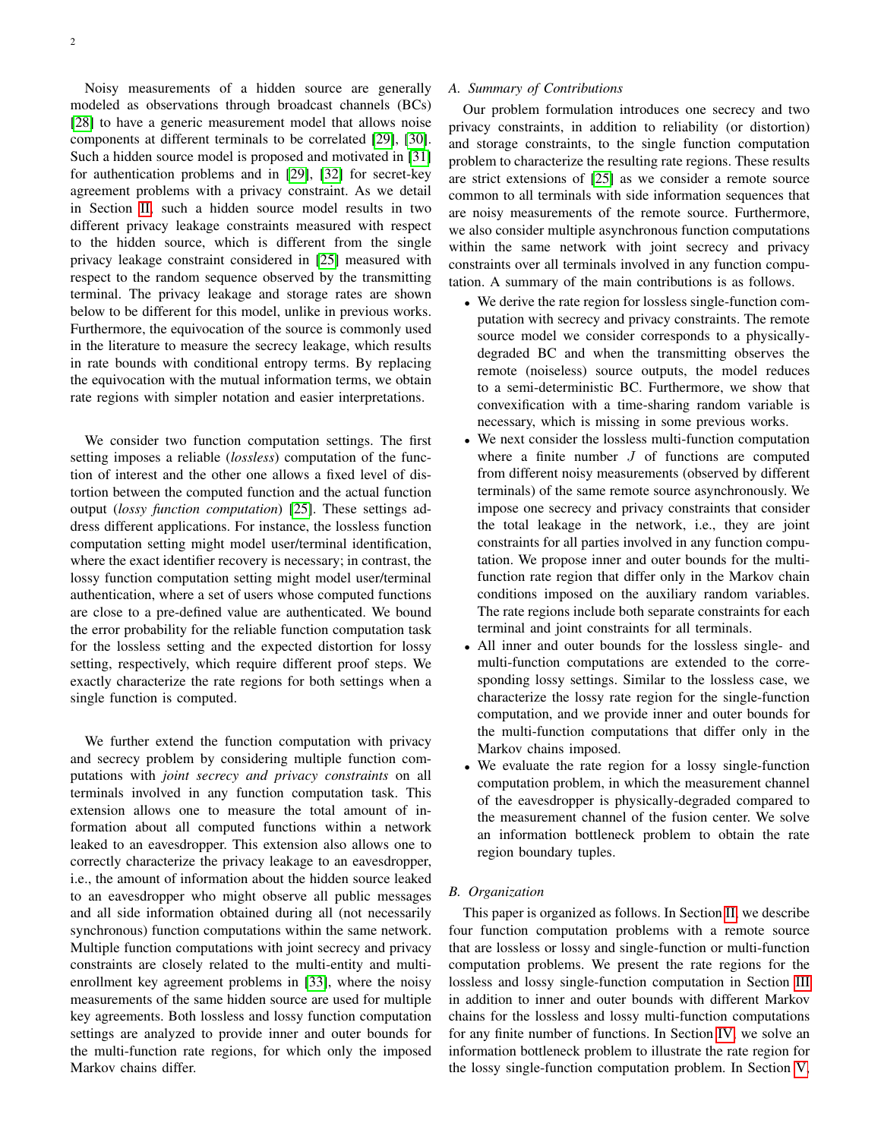Noisy measurements of a hidden source are generally modeled as observations through broadcast channels (BCs) [\[28\]](#page-14-16) to have a generic measurement model that allows noise components at different terminals to be correlated [\[29\]](#page-14-17), [\[30\]](#page-14-18). Such a hidden source model is proposed and motivated in [\[31\]](#page-14-19) for authentication problems and in [\[29\]](#page-14-17), [\[32\]](#page-14-20) for secret-key agreement problems with a privacy constraint. As we detail in Section [II,](#page-2-0) such a hidden source model results in two different privacy leakage constraints measured with respect to the hidden source, which is different from the single privacy leakage constraint considered in [\[25\]](#page-14-13) measured with respect to the random sequence observed by the transmitting terminal. The privacy leakage and storage rates are shown below to be different for this model, unlike in previous works. Furthermore, the equivocation of the source is commonly used in the literature to measure the secrecy leakage, which results in rate bounds with conditional entropy terms. By replacing the equivocation with the mutual information terms, we obtain rate regions with simpler notation and easier interpretations.

We consider two function computation settings. The first setting imposes a reliable (*lossless*) computation of the function of interest and the other one allows a fixed level of distortion between the computed function and the actual function output (*lossy function computation*) [\[25\]](#page-14-13). These settings address different applications. For instance, the lossless function computation setting might model user/terminal identification, where the exact identifier recovery is necessary; in contrast, the lossy function computation setting might model user/terminal authentication, where a set of users whose computed functions are close to a pre-defined value are authenticated. We bound the error probability for the reliable function computation task for the lossless setting and the expected distortion for lossy setting, respectively, which require different proof steps. We exactly characterize the rate regions for both settings when a single function is computed.

We further extend the function computation with privacy and secrecy problem by considering multiple function computations with *joint secrecy and privacy constraints* on all terminals involved in any function computation task. This extension allows one to measure the total amount of information about all computed functions within a network leaked to an eavesdropper. This extension also allows one to correctly characterize the privacy leakage to an eavesdropper, i.e., the amount of information about the hidden source leaked to an eavesdropper who might observe all public messages and all side information obtained during all (not necessarily synchronous) function computations within the same network. Multiple function computations with joint secrecy and privacy constraints are closely related to the multi-entity and multienrollment key agreement problems in [\[33\]](#page-15-0), where the noisy measurements of the same hidden source are used for multiple key agreements. Both lossless and lossy function computation settings are analyzed to provide inner and outer bounds for the multi-function rate regions, for which only the imposed Markov chains differ.

# *A. Summary of Contributions*

Our problem formulation introduces one secrecy and two privacy constraints, in addition to reliability (or distortion) and storage constraints, to the single function computation problem to characterize the resulting rate regions. These results are strict extensions of [\[25\]](#page-14-13) as we consider a remote source common to all terminals with side information sequences that are noisy measurements of the remote source. Furthermore, we also consider multiple asynchronous function computations within the same network with joint secrecy and privacy constraints over all terminals involved in any function computation. A summary of the main contributions is as follows.

- We derive the rate region for lossless single-function computation with secrecy and privacy constraints. The remote source model we consider corresponds to a physicallydegraded BC and when the transmitting observes the remote (noiseless) source outputs, the model reduces to a semi-deterministic BC. Furthermore, we show that convexification with a time-sharing random variable is necessary, which is missing in some previous works.
- We next consider the lossless multi-function computation where a finite number  $J$  of functions are computed from different noisy measurements (observed by different terminals) of the same remote source asynchronously. We impose one secrecy and privacy constraints that consider the total leakage in the network, i.e., they are joint constraints for all parties involved in any function computation. We propose inner and outer bounds for the multifunction rate region that differ only in the Markov chain conditions imposed on the auxiliary random variables. The rate regions include both separate constraints for each terminal and joint constraints for all terminals.
- All inner and outer bounds for the lossless single- and multi-function computations are extended to the corresponding lossy settings. Similar to the lossless case, we characterize the lossy rate region for the single-function computation, and we provide inner and outer bounds for the multi-function computations that differ only in the Markov chains imposed.
- We evaluate the rate region for a lossy single-function computation problem, in which the measurement channel of the eavesdropper is physically-degraded compared to the measurement channel of the fusion center. We solve an information bottleneck problem to obtain the rate region boundary tuples.

# *B. Organization*

This paper is organized as follows. In Section [II,](#page-2-0) we describe four function computation problems with a remote source that are lossless or lossy and single-function or multi-function computation problems. We present the rate regions for the lossless and lossy single-function computation in Section [III](#page-3-0) in addition to inner and outer bounds with different Markov chains for the lossless and lossy multi-function computations for any finite number of functions. In Section [IV,](#page-5-0) we solve an information bottleneck problem to illustrate the rate region for the lossy single-function computation problem. In Section [V,](#page-6-0)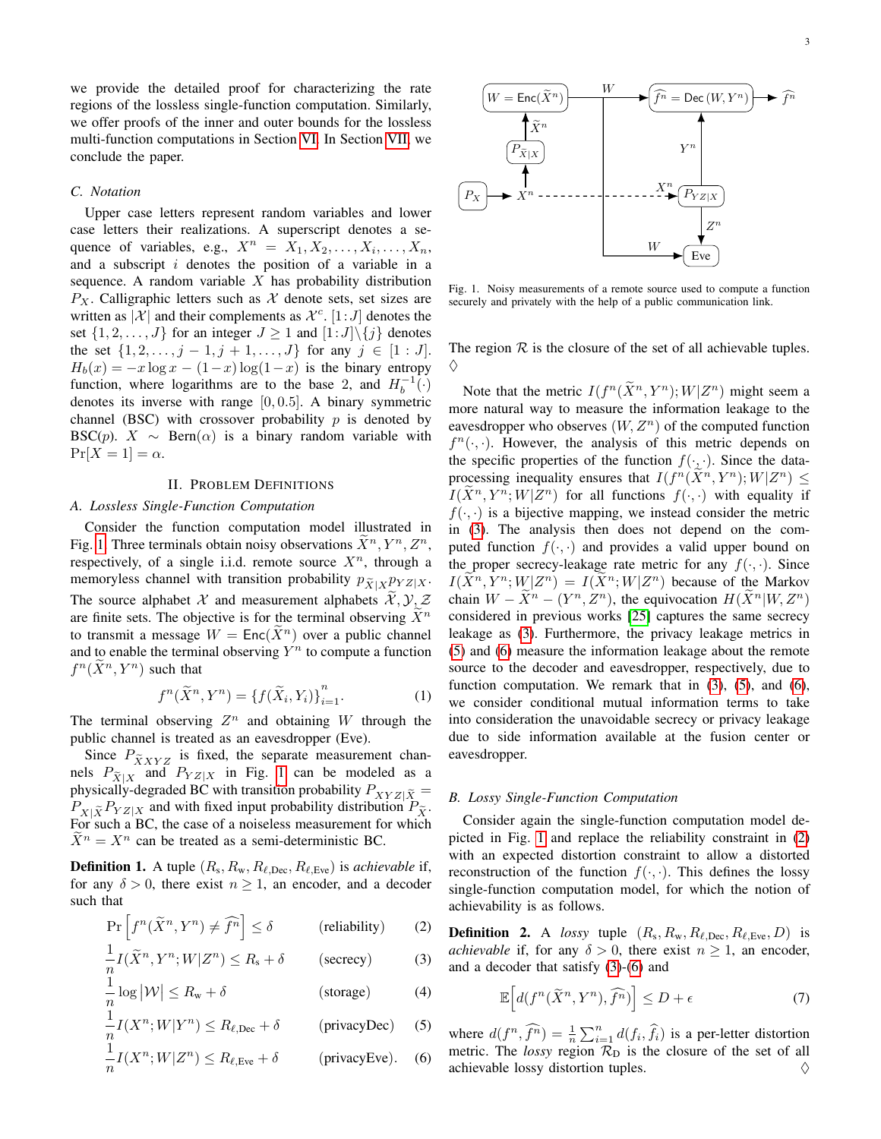we provide the detailed proof for characterizing the rate regions of the lossless single-function computation. Similarly, we offer proofs of the inner and outer bounds for the lossless multi-function computations in Section [VI.](#page-10-0) In Section [VII,](#page-14-21) we conclude the paper.

# *C. Notation*

Upper case letters represent random variables and lower case letters their realizations. A superscript denotes a sequence of variables, e.g.,  $X^n = X_1, X_2, \ldots, X_i, \ldots, X_n$ , and a subscript  $i$  denotes the position of a variable in a sequence. A random variable  $X$  has probability distribution  $P_X$ . Calligraphic letters such as X denote sets, set sizes are written as  $X^{\dagger}$  and their complements as  $\mathcal{X}^c$ .  $[1:J]$  denotes the set  $\{1, 2, \ldots, J\}$  for an integer  $J \geq 1$  and  $[1:J] \setminus \{j\}$  denotes the set  $\{1, 2, \ldots, j-1, j+1, \ldots, J\}$  for any  $j \in [1 : J]$ .  $H_b(x) = -x \log x - (1-x) \log(1-x)$  is the binary entropy function, where logarithms are to the base 2, and  $H_b^{-1}(\cdot)$ denotes its inverse with range [0, 0.5]. A binary symmetric channel (BSC) with crossover probability  $p$  is denoted by BSC(p).  $X \sim \text{Bern}(\alpha)$  is a binary random variable with  $Pr[X = 1] = \alpha$ .

#### II. PROBLEM DEFINITIONS

#### <span id="page-2-0"></span>*A. Lossless Single-Function Computation*

Consider the function computation model illustrated in Fig. [1.](#page-2-1) Three terminals obtain noisy observations  $\widetilde{X}^n, Y^n, Z^n$ , respectively, of a single i.i.d. remote source  $X^n$ , through a memoryless channel with transition probability  $p_{\tilde{X}|X} p_{YZ|X}$ . The source alphabet X and measurement alphabets  $\mathcal{X}, \mathcal{Y}, \mathcal{Z}$ are finite sets. The objective is for the terminal observing  $\tilde{X}^n$ to transmit a message  $W = \text{Enc}(\overline{X}^n)$  over a public channel and to enable the terminal observing  $Y^n$  to compute a function  $f^n(\tilde{X}^n, Y^n)$  such that

$$
f^{n}(\widetilde{X}^{n}, Y^{n}) = \{f(\widetilde{X}_{i}, Y_{i})\}_{i=1}^{n}.
$$
 (1)

The terminal observing  $Z^n$  and obtaining W through the public channel is treated as an eavesdropper (Eve).

Since  $P_{\tilde{X}XYZ}$  is fixed, the separate measurement channels  $P_{\tilde{X}|X}$  and  $P_{YZ|X}$  in Fig. [1](#page-2-1) can be modeled as a a substitution of  $P_{X|X}$ physically-degraded BC with transition probability  $P_{XYZ|\tilde{X}} =$  $P_{X|\tilde{X}}P_{YZ|X}$  and with fixed input probability distribution  $P_{\tilde{X}}$ . For such a BC, the case of a noiseless measurement for which  $\widetilde{X}^n = X^n$  can be treated as a semi-deterministic BC.

**Definition 1.** A tuple  $(R_s, R_w, R_{\ell, \text{Dec}}, R_{\ell, \text{Eve}})$  is *achievable* if, for any  $\delta > 0$ , there exist  $n \geq 1$ , an encoder, and a decoder such that

$$
\Pr\left[f^n(\widetilde{X}^n, Y^n) \neq \widehat{f}^n\right] \le \delta \qquad \text{(reliability)} \qquad (2)
$$

$$
\frac{1}{n}I(\widetilde{X}^n, Y^n; W|Z^n) \le R_s + \delta \qquad \text{(secrecy)} \tag{3}
$$

$$
\frac{1}{n}\log|\mathcal{W}| \le R_{\rm w} + \delta \tag{4}
$$

$$
\frac{1}{n}I(X^n;W|Y^n) \le R_{\ell,\text{Dec}} + \delta \qquad \text{(privacyDec)} \quad (5)
$$

$$
\frac{1}{n}I(X^n;W|Z^n) \le R_{\ell,\text{Eve}} + \delta \qquad \text{(privacyEve)}.\tag{6}
$$



<span id="page-2-1"></span>Fig. 1. Noisy measurements of a remote source used to compute a function securely and privately with the help of a public communication link.

The region  $R$  is the closure of the set of all achievable tuples. ♦

Note that the metric  $I(f^n(\tilde{X}^n, Y^n); W|Z^n)$  might seem a more natural way to measure the information leakage to the eavesdropper who observes  $(W, Z^n)$  of the computed function  $f^{n}(\cdot, \cdot)$ . However, the analysis of this metric depends on the specific properties of the function  $f(\cdot, \cdot)$ . Since the dataprocessing inequality ensures that  $I(f^n(\tilde{X}^n, Y^n); W|Z^n) \leq$  $I(\tilde{X}^n, Y^n; W | Z^n)$  for all functions  $f(\cdot, \cdot)$  with equality if  $f(\cdot, \cdot)$  is a bijective mapping, we instead consider the metric in [\(3\)](#page-2-2). The analysis then does not depend on the computed function  $f(\cdot, \cdot)$  and provides a valid upper bound on the proper secrecy-leakage rate metric for any  $f(\cdot, \cdot)$ . Since  $I(\tilde{X}^n, Y^n; W | Z^n) = I(\tilde{X}^n; W | Z^n)$  because of the Markov chain  $W - \tilde{X}^n - (Y^n, Z^n)$ , the equivocation  $H(\tilde{X}^n|W, Z^n)$ considered in previous works [\[25\]](#page-14-13) captures the same secrecy leakage as [\(3\)](#page-2-2). Furthermore, the privacy leakage metrics in [\(5\)](#page-2-3) and [\(6\)](#page-2-4) measure the information leakage about the remote source to the decoder and eavesdropper, respectively, due to function computation. We remark that in  $(3)$ ,  $(5)$ , and  $(6)$ , we consider conditional mutual information terms to take into consideration the unavoidable secrecy or privacy leakage due to side information available at the fusion center or eavesdropper.

## <span id="page-2-6"></span>*B. Lossy Single-Function Computation*

Consider again the single-function computation model depicted in Fig. [1](#page-2-1) and replace the reliability constraint in [\(2\)](#page-2-5) with an expected distortion constraint to allow a distorted reconstruction of the function  $f(\cdot, \cdot)$ . This defines the lossy single-function computation model, for which the notion of achievability is as follows.

<span id="page-2-7"></span><span id="page-2-5"></span><span id="page-2-2"></span>**Definition 2.** A *lossy* tuple  $(R_s, R_w, R_{\ell,Dec}, R_{\ell,Eve}, D)$  is *achievable* if, for any  $\delta > 0$ , there exist  $n \geq 1$ , an encoder, and a decoder that satisfy [\(3\)](#page-2-2)-[\(6\)](#page-2-4) and

$$
\mathbb{E}\Big[d(f^n(\widetilde{X}^n, Y^n), \widehat{f}^n)\Big] \le D + \epsilon \tag{7}
$$

<span id="page-2-4"></span><span id="page-2-3"></span>where  $d(f^n, \widehat{f^n}) = \frac{1}{n} \sum_{i=1}^n d(f_i, \widehat{f}_i)$  is a per-letter distortion metric. The *lossy* region  $\mathcal{R}_D$  is the closure of the set of all achievable lossy distortion tuples.  $\Diamond$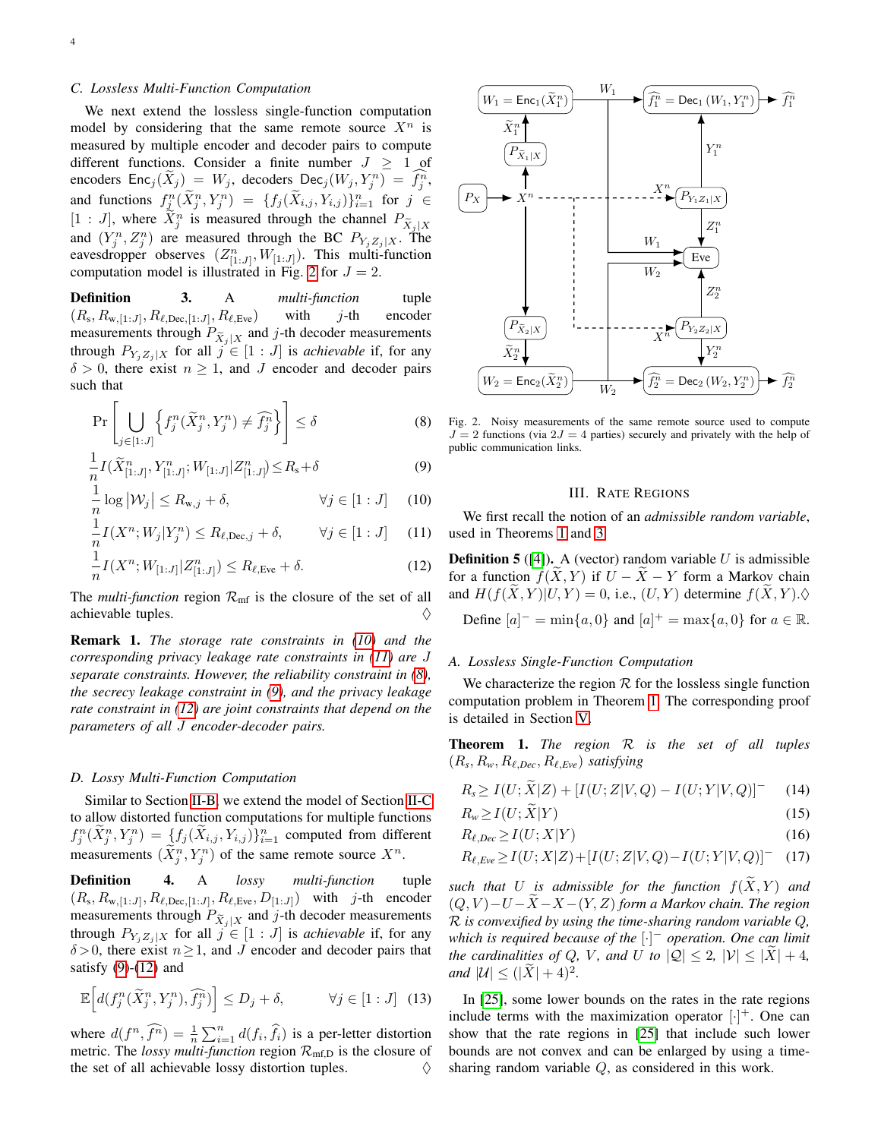# <span id="page-3-7"></span>*C. Lossless Multi-Function Computation*

We next extend the lossless single-function computation model by considering that the same remote source  $X^n$  is measured by multiple encoder and decoder pairs to compute different functions. Consider a finite number  $J > 1$  of encoders  $\text{Enc}_j(\tilde{X}_j) = W_j$ , decoders  $\text{Dec}_j(W_j, Y_j^n) = \tilde{f}_j^n$ , and functions  $f_{\hat{\lambda}}^n(\tilde{X}_j^n, Y_j^n) = \{f_j(\tilde{X}_{i,j}, Y_{i,j})\}_{i=1}^n$  for  $j \in$  $[1:J]$ , where  $\tilde{X}_j^n$  is measured through the channel  $P_{\tilde{X}_j|X}$ and  $(Y_j^n, Z_j^n)$  are measured through the BC  $P_{Y_jZ_j|X}$ . The eavesdropper observes  $(Z_{[1:J]}^n, W_{[1:J]})$ . This multi-function computation model is illustrated in Fig. [2](#page-3-1) for  $J = 2$ .

Definition 3. A *multi-function* tuple  $(R_s, R_{w,[1:J]}, R_{\ell,Dec,[1:J]}, R_{\ell, Eve})$  with j-th encoder measurements through  $P_{\tilde{X}_j|X}$  and j-th decoder measurements through  $P_{Y_iZ_j|X}$  for all  $j \in [1:J]$  is *achievable* if, for any  $\delta > 0$ , there exist  $n \geq 1$ , and J encoder and decoder pairs such that

$$
\Pr\left[\bigcup_{j\in[1:J]}\left\{f_j^n(\tilde{X}_j^n, Y_j^n)\neq \widehat{f_j^n}\right\}\right] \le \delta\tag{8}
$$

$$
\frac{1}{n}I(\widetilde{X}_{[1:J]}^n, Y_{[1:J]}^n; W_{[1:J]} | Z_{[1:J]}^n) \le R_s + \delta
$$
\n(9)

$$
\frac{1}{n}\log |\mathcal{W}_j| \le R_{\mathbf{w},j} + \delta, \qquad \forall j \in [1:J] \quad (10)
$$

$$
\frac{1}{n}I(X^n; W_j | Y_j^n) \le R_{\ell, \text{Dec}, j} + \delta, \qquad \forall j \in [1:J] \tag{11}
$$

$$
\frac{1}{n}I(X^n; W_{[1:J]} | Z_{[1:J]}^n) \le R_{\ell, \text{Eve}} + \delta. \tag{12}
$$

The *multi-function* region  $\mathcal{R}_{\text{mf}}$  is the closure of the set of all achievable tuples.  $\Diamond$ 

Remark 1. *The storage rate constraints in [\(10\)](#page-3-2) and the corresponding privacy leakage rate constraints in [\(11\)](#page-3-3) are* J *separate constraints. However, the reliability constraint in [\(8\)](#page-3-4), the secrecy leakage constraint in [\(9\)](#page-3-5), and the privacy leakage rate constraint in [\(12\)](#page-3-6) are joint constraints that depend on the parameters of all* J *encoder-decoder pairs.*

#### <span id="page-3-9"></span>*D. Lossy Multi-Function Computation*

Similar to Section [II-B,](#page-2-6) we extend the model of Section [II-C](#page-3-7) to allow distorted function computations for multiple functions  $f_j^n(\widetilde{X}_j^n,Y_j^n)=\bigcup \{f_j(\widetilde{X}_{i,j},Y_{i,j})\}_{i=1}^n$  computed from different measurements  $(\tilde{X}_j^n, Y_j^n)$  of the same remote source  $X^n$ .

Definition 4. A *lossy multi-function* tuple  $(R_s, R_{w,[1:J]}, R_{\ell,Dec,[1:J]}, R_{\ell, Eve}, D_{[1:J]})$  with j-th encoder measurements through  $P_{\tilde{X}_j|X}$  and j-th decoder measurements through  $P_{Y_iZ_j|X}$  for all  $j \in [1:J]$  is *achievable* if, for any  $\delta$  > 0, there exist  $n \ge 1$ , and J encoder and decoder pairs that satisfy  $(9)-(12)$  $(9)-(12)$  $(9)-(12)$  and

$$
\mathbb{E}\Big[d(f_j^n(\widetilde{X}_j^n, Y_j^n), \widehat{f}_j^n)\Big] \le D_j + \delta, \qquad \forall j \in [1:J] \tag{13}
$$

where  $d(f^n, \widehat{f^n}) = \frac{1}{n} \sum_{i=1}^n d(f_i, \widehat{f}_i)$  is a per-letter distortion metric. The *lossy multi-function* region  $\mathcal{R}_{\text{mf},D}$  is the closure of the set of all achievable lossy distortion tuples.  $\Diamond$ 



<span id="page-3-5"></span><span id="page-3-4"></span><span id="page-3-1"></span>Fig. 2. Noisy measurements of the same remote source used to compute  $J = 2$  functions (via  $2J = 4$  parties) securely and privately with the help of public communication links.

#### III. RATE REGIONS

<span id="page-3-3"></span><span id="page-3-2"></span><span id="page-3-0"></span>We first recall the notion of an *admissible random variable*, used in Theorems [1](#page-3-8) and [3.](#page-4-0)

<span id="page-3-6"></span>**Definition 5** ([\[4\]](#page-14-3)). A (vector) random variable  $U$  is admissible for a function  $f(X, Y)$  if  $U - \overline{X} - Y$  form a Markov chain and  $H(f(\tilde{X}, Y)|U, Y) = 0$ , i.e.,  $(U, Y)$  determine  $f(\tilde{X}, Y) \cdot \lozenge$ Define  $[a]^{-} = \min\{a, 0\}$  and  $[a]^{+} = \max\{a, 0\}$  for  $a \in \mathbb{R}$ .

## *A. Lossless Single-Function Computation*

We characterize the region  $R$  for the lossless single function computation problem in Theorem [1.](#page-3-8) The corresponding proof is detailed in Section [V.](#page-6-0)

<span id="page-3-8"></span>Theorem 1. *The region* R *is the set of all tuples*  $(R_s, R_w, R_{\ell,Dec}, R_{\ell, Eve})$  *satisfying* 

$$
R_s \ge I(U; \tilde{X}|Z) + [I(U;Z|V,Q) - I(U;Y|V,Q)]^- \tag{14}
$$

$$
R_w \ge I(U;X|Y) \tag{15}
$$

$$
R_{\ell,Dec} \ge I(U;X|Y) \tag{16}
$$

$$
R_{\ell, Eve} \ge I(U; X|Z) + [I(U; Z|V, Q) - I(U; Y|V, Q)] - (17)
$$

*such that* U *is admissible for the function*  $f(\widetilde{X}, Y)$  *and*  $(Q, V) - U - \tilde{X} - X - (Y, Z)$  *form a Markov chain. The region* R *is convexified by using the time-sharing random variable* Q*, which is required because of the* [·] <sup>−</sup> *operation. One can limit the cardinalities of Q, V, and U to*  $|Q| \leq 2$ ,  $|V| \leq |\tilde{X}| + 4$ , *and*  $|U| \leq (|\tilde{X}| + 4)^2$ *.* 

In [\[25\]](#page-14-13), some lower bounds on the rates in the rate regions include terms with the maximization operator  $[\cdot]^+$ . One can show that the rate regions in [\[25\]](#page-14-13) that include such lower bounds are not convex and can be enlarged by using a timesharing random variable Q, as considered in this work.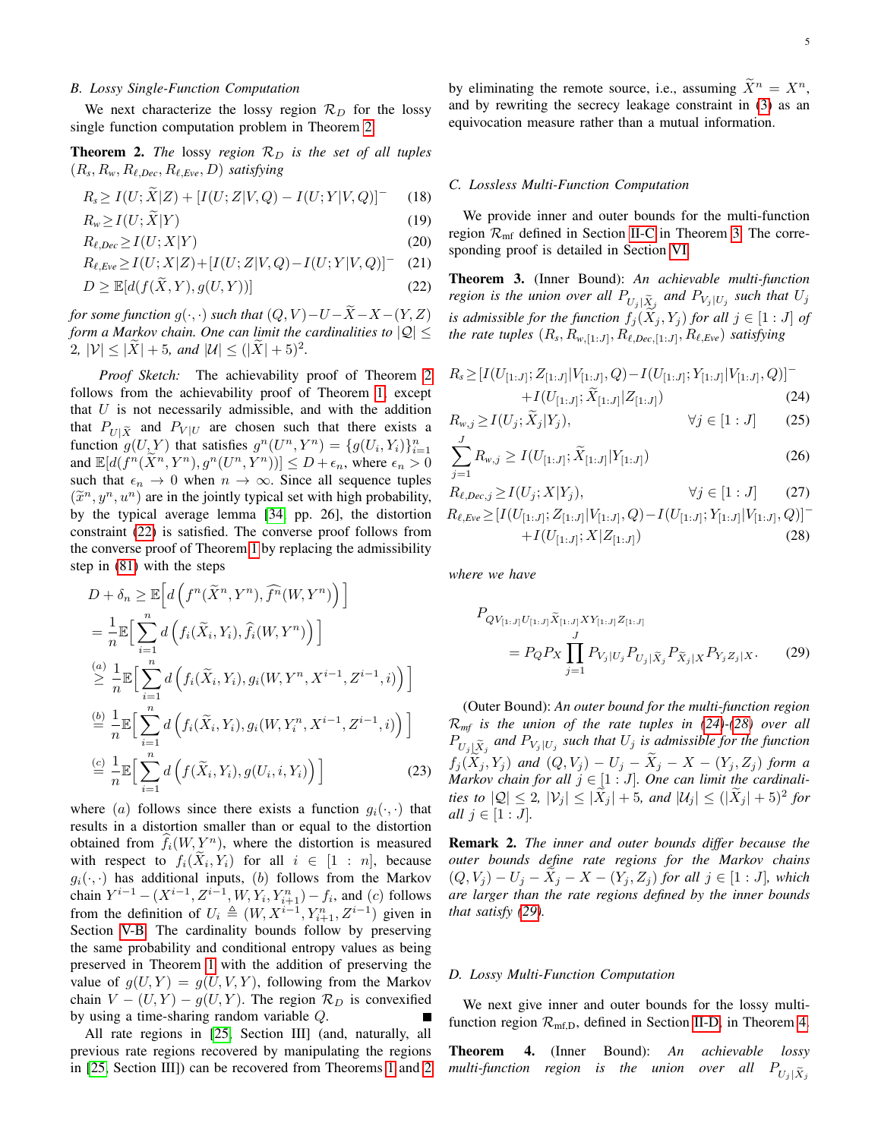## *B. Lossy Single-Function Computation*

We next characterize the lossy region  $\mathcal{R}_D$  for the lossy single function computation problem in Theorem [2.](#page-4-1)

<span id="page-4-1"></span>**Theorem 2.** *The* lossy *region*  $\mathcal{R}_D$  *is the set of all tuples*  $(R_s, R_w, R_{\ell,Dec}, R_{\ell, Eve}, D)$  *satisfying* 

$$
R_s \ge I(U; \tilde{X}|Z) + [I(U; Z|V, Q) - I(U; Y|V, Q)]^-
$$
 (18)

$$
R_w \ge I(U; \widetilde{X}|Y) \tag{19}
$$

$$
R_{\ell,Dec} \ge I(U;X|Y) \tag{20}
$$

$$
R_{\ell, Eve} \ge I(U; X|Z) + [I(U; Z|V, Q) - I(U; Y|V, Q)] - (21)
$$

$$
D \ge \mathbb{E}[d(f(\widetilde{X}, Y), g(U, Y))]
$$
\n(22)

*for some function*  $g(\cdot, \cdot)$  *such that*  $(Q, V) - U - \widetilde{X} - X - (Y, Z)$ *form a Markov chain. One can limit the cardinalities to*  $|Q|$   $\leq$  $2, |\mathcal{V}| \leq |\tilde{X}| + 5, \text{ and } |\mathcal{U}| \leq (|\tilde{X}| + 5)^2.$ 

*Proof Sketch:* The achievability proof of Theorem [2](#page-4-1) follows from the achievability proof of Theorem [1,](#page-3-8) except that  $U$  is not necessarily admissible, and with the addition that  $P_{U|\tilde{X}}$  and  $P_{V|U}$  are chosen such that there exists a function  $g(U, Y)$  that satisfies  $g^n(U^n, Y^n) = \{g(U_i, Y_i)\}_{i=1}^n$ and  $\mathbb{E}[d(f^n(\tilde{X}^n, Y^n), g^n(U^n, Y^n))] \leq D + \epsilon_n$ , where  $\epsilon_n > 0$ such that  $\epsilon_n \to 0$  when  $n \to \infty$ . Since all sequence tuples  $(\tilde{x}^n, y^n, u^n)$  are in the jointly typical set with high probability,<br>by the typical average lemma [34, np. 26], the distortion by the typical average lemma [\[34,](#page-15-1) pp. 26], the distortion constraint [\(22\)](#page-4-2) is satisfied. The converse proof follows from the converse proof of Theorem [1](#page-3-8) by replacing the admissibility step in [\(81\)](#page-9-0) with the steps

$$
D + \delta_n \geq \mathbb{E}\Big[d\Big(f^n(\widetilde{X}^n, Y^n), \widehat{f}^n(W, Y^n)\Big)\Big]
$$
  
\n
$$
= \frac{1}{n} \mathbb{E}\Big[\sum_{i=1}^n d\Big(f_i(\widetilde{X}_i, Y_i), \widehat{f}_i(W, Y^n)\Big)\Big]
$$
  
\n
$$
\stackrel{(a)}{\geq} \frac{1}{n} \mathbb{E}\Big[\sum_{i=1}^n d\Big(f_i(\widetilde{X}_i, Y_i), g_i(W, Y^n, X^{i-1}, Z^{i-1}, i)\Big)\Big]
$$
  
\n
$$
\stackrel{(b)}{=} \frac{1}{n} \mathbb{E}\Big[\sum_{i=1}^n d\Big(f_i(\widetilde{X}_i, Y_i), g_i(W, Y_i^n, X^{i-1}, Z^{i-1}, i)\Big)\Big]
$$
  
\n
$$
\stackrel{(c)}{=} \frac{1}{n} \mathbb{E}\Big[\sum_{i=1}^n d\Big(f(\widetilde{X}_i, Y_i), g(U_i, i, Y_i)\Big)\Big]
$$
  
\n(23)

where (a) follows since there exists a function  $q_i(\cdot, \cdot)$  that results in a distortion smaller than or equal to the distortion obtained from  $f_i(W, Y^n)$ , where the distortion is measured with respect to  $f_i(X_i, Y_i)$  for all  $i \in [1 : n]$ , because  $g_i(\cdot, \cdot)$  has additional inputs, (b) follows from the Markov chain  $Y^{i-1} - (X^{i-1}, Z^{i-1}, W, Y_i, Y_{i+1}^n) - f_i$ , and  $(c)$  follows from the definition of  $U_i \triangleq (W, X^{i-1}, Y_{i+1}^n, Z^{i-1})$  given in Section [V-B.](#page-8-0) The cardinality bounds follow by preserving the same probability and conditional entropy values as being preserved in Theorem [1](#page-3-8) with the addition of preserving the value of  $q(U, Y) = q(U, V, Y)$ , following from the Markov chain  $V - (U, Y) - g(U, Y)$ . The region  $\mathcal{R}_D$  is convexified by using a time-sharing random variable Q.

All rate regions in [\[25,](#page-14-13) Section III] (and, naturally, all previous rate regions recovered by manipulating the regions in [\[25,](#page-14-13) Section III]) can be recovered from Theorems [1](#page-3-8) and [2](#page-4-1) 5

by eliminating the remote source, i.e., assuming  $\widetilde{X}^n = X^n$ , and by rewriting the secrecy leakage constraint in [\(3\)](#page-2-2) as an equivocation measure rather than a mutual information.

#### *C. Lossless Multi-Function Computation*

We provide inner and outer bounds for the multi-function region  $\mathcal{R}_{\text{mf}}$  defined in Section [II-C](#page-3-7) in Theorem [3.](#page-4-0) The corresponding proof is detailed in Section [VI.](#page-10-0)

<span id="page-4-2"></span><span id="page-4-0"></span>Theorem 3. (Inner Bound): *An achievable multi-function region is the union over all*  $P_{U_j | \widetilde{X}_j}$  *and*  $P_{V_j | U_j}$  *such that*  $U_j$ *is admissible for the function*  $f_j(X_j, Y_j)$  *for all*  $j \in [1 : J]$  *of the rate tuples*  $(R_s, R_{w,[1:J]}, R_{\ell,Dec,[1:J]}, R_{\ell,Eve})$  *satisfying* 

<span id="page-4-3"></span>
$$
R_s \geq \left[I(U_{[1:J]}; Z_{[1:J]} | V_{[1:J]}, Q) - I(U_{[1:J]}; Y_{[1:J]} | V_{[1:J]}, Q)\right]^{-} + I(U_{[1:J]}; \widetilde{X}_{[1:J]} | Z_{[1:J]}) \tag{24}
$$

$$
R_{w,j} \ge I(U_j; \widetilde{X}_j | Y_j), \qquad \forall j \in [1:J] \qquad (25)
$$

$$
\sum_{j=1}^{J} R_{w,j} \ge I(U_{[1:J]}; \widetilde{X}_{[1:J]} | Y_{[1:J]})
$$
\n(26)

$$
R_{\ell,Dec,j} \ge I(U_j; X | Y_j), \qquad \forall j \in [1:J] \tag{27}
$$

$$
R_{\ell, Eve} \geq [I(U_{[1:J]}; Z_{[1:J]} | V_{[1:J]}, Q) - I(U_{[1:J]}; Y_{[1:J]} | V_{[1:J]}, Q)]- + I(U_{[1:J]}; X | Z_{[1:J]})
$$
\n(28)

*where we have*

<span id="page-4-5"></span><span id="page-4-4"></span>
$$
P_{QV_{[1:J]}U_{[1:J]}\tilde{X}_{[1:J]}XY_{[1:J]}Z_{[1:J]}}= P_Q P_X \prod_{j=1}^J P_{V_j|U_j} P_{U_j|\tilde{X}_j} P_{\tilde{X}_j|X} P_{Y_j Z_j|X}.
$$
 (29)

<span id="page-4-7"></span>(Outer Bound): *An outer bound for the multi-function region* R*mf is the union of the rate tuples in [\(24\)](#page-4-3)-[\(28\)](#page-4-4) over all*  $P_{U_j \mid \widetilde{X}_j}$  and  $P_{V_j \mid U_j}$  such that  $U_j$  is admissible for the function  $f_j(X_j, Y_j)$  *and*  $(Q, V_j) - U_j - X_j - X - (Y_j, Z_j)$  *form a Markov chain for all*  $j \in [1 : J]$ *. One can limit the cardinalities to*  $|Q| \leq 2$ ,  $|V_j| \leq |\tilde{X}_j| + 5$ , and  $|U_j| \leq (|\tilde{X}_j| + 5)^2$  for *all*  $j \in [1 : J]$ *.* 

Remark 2. *The inner and outer bounds differ because the outer bounds define rate regions for the Markov chains*  $(Q, V_j) - U_j - X_j - X - (Y_j, Z_j)$  *for all*  $j \in [1 : J]$ *, which are larger than the rate regions defined by the inner bounds that satisfy [\(29\)](#page-4-5).*

### *D. Lossy Multi-Function Computation*

We next give inner and outer bounds for the lossy multifunction region  $\mathcal{R}_{\text{mf},D}$ , defined in Section [II-D,](#page-3-9) in Theorem [4.](#page-4-6)

<span id="page-4-6"></span>Theorem 4. (Inner Bound): *An achievable lossy multi-function region is the union over all*  $P_{U_j | \tilde{X}_j}$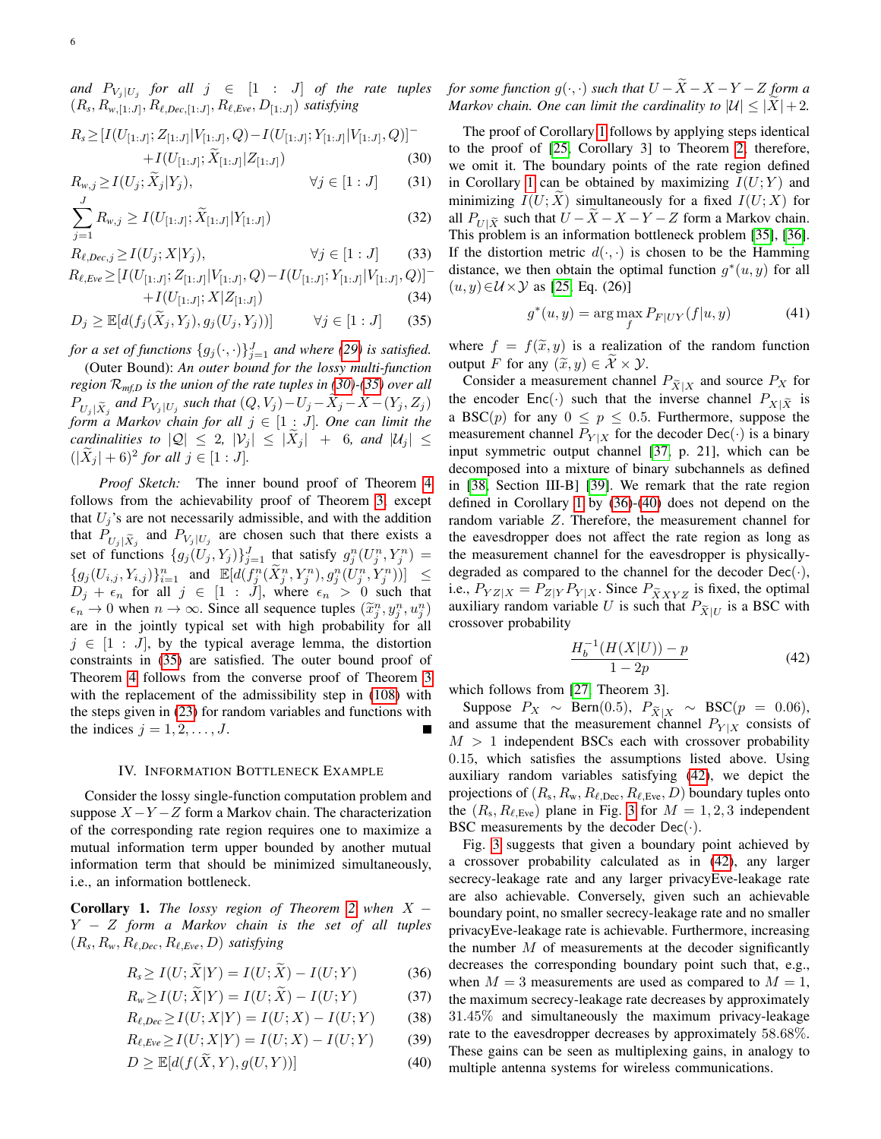*and*  $P_{V_j | U_j}$  for all  $j \in [1 : J]$  of the rate tuples  $(R_s, R_{w,[1:J]}, R_{\ell,Dec,[1:J]}, R_{\ell, Eve}, D_{[1:J]})$  *satisfying* 

$$
R_s \geq \left[I(U_{[1:J]}; Z_{[1:J]} | V_{[1:J]}, Q) - I(U_{[1:J]}; Y_{[1:J]} | V_{[1:J]}, Q)\right]^{-} + I(U_{[1:J]}; \widetilde{X}_{[1:J]} | Z_{[1:J]}) \tag{30}
$$

$$
R_{w,j} \ge I(U_j; \widetilde{X}_j | Y_j), \qquad \forall j \in [1:J] \qquad (31)
$$

$$
\sum_{j=1} R_{w,j} \ge I(U_{[1:J]}; \widetilde{X}_{[1:J]} | Y_{[1:J]})
$$
\n(32)

 $R_{\ell,Dec,j} \ge I(U_j; X|Y_j), \qquad \forall j \in [1 : J]$  (33)

$$
R_{\ell, Eve} \geq [I(U_{[1:J]}; Z_{[1:J]} | V_{[1:J]}, Q) - I(U_{[1:J]}; Y_{[1:J]} | V_{[1:J]}, Q)]^{-1}
$$

$$
+I(U_{[1:J]};X|Z_{[1:J]}) \t(34)
$$

$$
D_j \ge \mathbb{E}[d(f_j(\widetilde{X}_j, Y_j), g_j(U_j, Y_j))] \qquad \forall j \in [1:J] \qquad (35)
$$

*for a set of functions*  $\{g_j(\cdot,\cdot)\}_{j=1}^J$  *and where [\(29\)](#page-4-5) is satisfied.* 

(Outer Bound): *An outer bound for the lossy multi-function region* R*mf,D is the union of the rate tuples in [\(30\)](#page-5-1)-[\(35\)](#page-5-2) over all*  $P_{U_j | \tilde{X}_j}$  and  $P_{V_j | U_j}$  such that  $(Q, V_j) - U_j - X_j - X - (Y_j, Z_j)$ *form a Markov chain for all*  $j \in [1 : J]$ *. One can limit the cardinalities to*  $|Q| \leq 2$ ,  $|V_j| \leq |\tilde{X}_j| + 6$ , and  $|U_j| \leq$  $(|\widetilde{X}_j| + 6)^2$  for all  $j \in [1:J]$ .

*Proof Sketch:* The inner bound proof of Theorem [4](#page-4-6) follows from the achievability proof of Theorem [3,](#page-4-0) except that  $U_i$ 's are not necessarily admissible, and with the addition that  $P_{U_j | \tilde{X}_j}$  and  $P_{V_j | U_j}$  are chosen such that there exists a set of functions  $\{g_j(U_j, Y_j)\}_{j=1}^J$  that satisfy  $g_j^n(U_j^n, Y_j^n) =$  $\{g_j(U_{i,j}, Y_{i,j})\}_{i=1}^n$  and  $\mathbb{E}[d(f_{j}^n(\widetilde{X}_j^n, Y_j^n), g_j^n(U_j^n, Y_j^n))] \leq$  $D_j + \epsilon_n$  for all  $j \in [1 : J]$ , where  $\epsilon_n > 0$  such that  $\epsilon_n \to 0$  when  $n \to \infty$ . Since all sequence tuples  $(\tilde{x}_j^n, y_j^n, u_j^n)$ are in the jointly typical set with high probability for all  $j \in [1 : J]$ , by the typical average lemma, the distortion constraints in [\(35\)](#page-5-2) are satisfied. The outer bound proof of Theorem [4](#page-4-6) follows from the converse proof of Theorem [3](#page-4-0) with the replacement of the admissibility step in [\(108\)](#page-12-0) with the steps given in [\(23\)](#page-4-7) for random variables and functions with the indices  $j = 1, 2, \ldots, J$ .

#### IV. INFORMATION BOTTLENECK EXAMPLE

<span id="page-5-0"></span>Consider the lossy single-function computation problem and suppose  $X - Y - Z$  form a Markov chain. The characterization of the corresponding rate region requires one to maximize a mutual information term upper bounded by another mutual information term that should be minimized simultaneously, i.e., an information bottleneck.

<span id="page-5-3"></span>**Corollary 1.** *The lossy region of Theorem* [2](#page-4-1) *when*  $X -$ Y − Z *form a Markov chain is the set of all tuples*  $(R_s, R_w, R_{\ell,Dec}, R_{\ell, Eve}, D)$  *satisfying* 

$$
R_s \ge I(U; \tilde{X}|Y) = I(U; \tilde{X}) - I(U;Y) \tag{36}
$$

$$
R_w \ge I(U;X|Y) = I(U;X) - I(U;Y)
$$
 (37)

$$
R_{\ell,Dec} \ge I(U;X|Y) = I(U;X) - I(U;Y) \tag{38}
$$

$$
R_{\ell, Eve} \ge I(U; X|Y) = I(U; X) - I(U; Y) \tag{39}
$$

$$
D \ge \mathbb{E}[d(f(\widetilde{X}, Y), g(U, Y))]
$$
\n(40)

*for some function*  $g(\cdot, \cdot)$  *such that*  $U - \widetilde{X} - X - Y - Z$  *form a Markov chain. One can limit the cardinality to*  $|\mathcal{U}| < |\tilde{X}| + 2$ .

<span id="page-5-1"></span>The proof of Corollary [1](#page-5-3) follows by applying steps identical to the proof of [\[25,](#page-14-13) Corollary 3] to Theorem [2;](#page-4-1) therefore, we omit it. The boundary points of the rate region defined in Corollary [1](#page-5-3) can be obtained by maximizing  $I(U;Y)$  and minimizing  $I(U; X)$  simultaneously for a fixed  $I(U; X)$  for all  $P_{U|\tilde{X}}$  such that  $U - \tilde{X} - X - Y - Z$  form a Markov chain. This problem is an information bottleneck problem [\[35\]](#page-15-2), [\[36\]](#page-15-3). If the distortion metric  $d(\cdot, \cdot)$  is chosen to be the Hamming distance, we then obtain the optimal function  $g^*(u, y)$  for all  $(u, y) \in \mathcal{U} \times \mathcal{Y}$  as [\[25,](#page-14-13) Eq. (26)]

$$
g^*(u, y) = \arg\max_f P_{F|UY}(f|u, y)
$$
\n(41)

<span id="page-5-2"></span>where  $f = f(\tilde{x}, y)$  is a realization of the random function output F for any  $(\tilde{x}, y) \in \mathcal{X} \times \mathcal{Y}$ .

Consider a measurement channel  $P_{\tilde{X}|X}$  and source  $P_X$  for the encoder Enc(.) such that the inverse channel  $P_{X|\tilde{X}}$  is a BSC(p) for any  $0 \le p \le 0.5$ . Furthermore, suppose the measurement channel  $P_{Y|X}$  for the decoder Dec( $\cdot$ ) is a binary input symmetric output channel [\[37,](#page-15-4) p. 21], which can be decomposed into a mixture of binary subchannels as defined in [\[38,](#page-15-5) Section III-B] [\[39\]](#page-15-6). We remark that the rate region defined in Corollary [1](#page-5-3) by [\(36\)](#page-5-4)-[\(40\)](#page-5-5) does not depend on the random variable Z. Therefore, the measurement channel for the eavesdropper does not affect the rate region as long as the measurement channel for the eavesdropper is physicallydegraded as compared to the channel for the decoder  $Dec(\cdot)$ , i.e.,  $P_{YZ|X} = P_{Z|Y} P_{Y|X}$ . Since  $P_{\tilde{X}XYZ}$  is fixed, the optimal auxiliary random variable U is such that  $P_{\tilde{X}|U}$  is a BSC with crossover probability

<span id="page-5-6"></span>
$$
\frac{H_b^{-1}(H(X|U)) - p}{1 - 2p} \tag{42}
$$

which follows from [\[27,](#page-14-15) Theorem 3].

Suppose  $P_X \sim \text{Bern}(0.5)$ ,  $P_{\tilde{X}|X} \sim \text{BSC}(p = 0.06)$ , and assume that the measurement channel  $P_{Y|X}$  consists of  $M > 1$  independent BSCs each with crossover probability 0.15, which satisfies the assumptions listed above. Using auxiliary random variables satisfying [\(42\)](#page-5-6), we depict the projections of  $(R_s, R_w, R_{\ell, \text{Dec}}, R_{\ell, \text{Eve}}, D)$  boundary tuples onto the  $(R_s, R_{\ell, Eve})$  plane in Fig. [3](#page-6-1) for  $M = 1, 2, 3$  independent BSC measurements by the decoder  $Dec(\cdot)$ .

<span id="page-5-5"></span><span id="page-5-4"></span>Fig. [3](#page-6-1) suggests that given a boundary point achieved by a crossover probability calculated as in [\(42\)](#page-5-6), any larger secrecy-leakage rate and any larger privacyEve-leakage rate are also achievable. Conversely, given such an achievable boundary point, no smaller secrecy-leakage rate and no smaller privacyEve-leakage rate is achievable. Furthermore, increasing the number  $M$  of measurements at the decoder significantly decreases the corresponding boundary point such that, e.g., when  $M = 3$  measurements are used as compared to  $M = 1$ , the maximum secrecy-leakage rate decreases by approximately 31.45% and simultaneously the maximum privacy-leakage rate to the eavesdropper decreases by approximately 58.68%. These gains can be seen as multiplexing gains, in analogy to multiple antenna systems for wireless communications.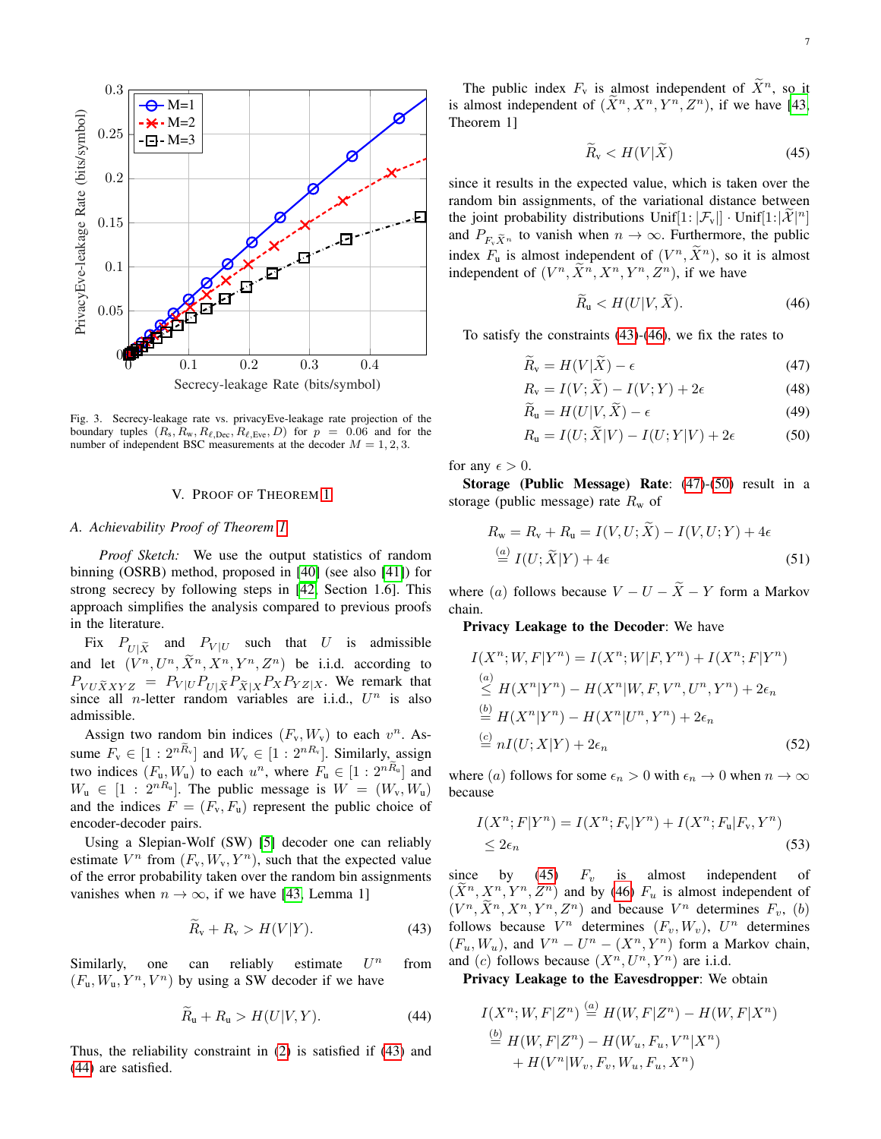

<span id="page-6-1"></span>Fig. 3. Secrecy-leakage rate vs. privacyEve-leakage rate projection of the boundary tuples  $(R_s, R_w, R_{\ell,Dec}, R_{\ell,Eve}, D)$  for  $p = 0.06$  and for the number of independent BSC measurements at the decoder  $M = 1, 2, 3$ .

#### V. PROOF OF THEOREM [1](#page-3-8)

## <span id="page-6-10"></span><span id="page-6-0"></span>*A. Achievability Proof of Theorem [1](#page-3-8)*

*Proof Sketch:* We use the output statistics of random binning (OSRB) method, proposed in [\[40\]](#page-15-7) (see also [\[41\]](#page-15-8)) for strong secrecy by following steps in [\[42,](#page-15-9) Section 1.6]. This approach simplifies the analysis compared to previous proofs in the literature.

Fix  $P_{U|\tilde{X}}$  and  $P_{V|U}$  such that U is admissible and let  $(V^n, U^n, \tilde{X}^n, X^n, Y^n, Z^n)$  be i.i.d. according to  $P_{VU\tilde{X}XYZ} = P_{V|U}P_{U|\tilde{X}}P_{\tilde{X}|X}P_{X}P_{YZ|X}$ . We remark that since all *n*-letter random variables are i.i.d.,  $U^n$  is also admissible.

Assign two random bin indices  $(F_v, W_v)$  to each  $v^n$ . Assume  $F_v \in [1:2^{nR_v}]$  and  $W_v \in [1:2^{nR_v}]$ . Similarly, assign two indices  $(F_u, W_u)$  to each  $u^n$ , where  $F_u \in [1:2^{nR_u}]$  and  $W_u \in [1:2^{nR_u}]$ . The public message is  $W = (W_v, W_u)$ and the indices  $F = (F_v, F_u)$  represent the public choice of encoder-decoder pairs.

Using a Slepian-Wolf (SW) [\[5\]](#page-14-4) decoder one can reliably estimate  $V^n$  from  $(F_v, W_v, Y^n)$ , such that the expected value of the error probability taken over the random bin assignments vanishes when  $n \to \infty$ , if we have [\[43,](#page-15-10) Lemma 1]

$$
\widetilde{R}_v + R_v > H(V|Y). \tag{43}
$$

Similarly, one can reliably estimate  $U^n$ from  $(F_u, W_u, Y^n, V^n)$  by using a SW decoder if we have

$$
\widetilde{R}_{\mathrm{u}} + R_{\mathrm{u}} > H(U|V, Y). \tag{44}
$$

Thus, the reliability constraint in [\(2\)](#page-2-5) is satisfied if [\(43\)](#page-6-2) and [\(44\)](#page-6-3) are satisfied.

The public index  $F_v$  is almost independent of  $\widetilde{X}^n$ , so it is almost independent of  $(\tilde{X}^n, X^n, Y^n, Z^n)$ , if we have [\[43,](#page-15-10) Theorem 1]

<span id="page-6-7"></span>
$$
\widetilde{R}_v < H(V|\widetilde{X})\tag{45}
$$

since it results in the expected value, which is taken over the random bin assignments, of the variational distance between the joint probability distributions Unif $[1: |\mathcal{F}_v|] \cdot \text{Unif}[1: |\mathcal{X}|^n]$ and  $P_{F_\nu \tilde{X}^n}$  to vanish when  $n \to \infty$ . Furthermore, the public index  $F_u$  is almost independent of  $(V^n, \tilde{X}^n)$ , so it is almost independent of  $(V^n, \tilde{X}^n, X^n, Y^n, Z^n)$ , if we have

<span id="page-6-9"></span><span id="page-6-8"></span><span id="page-6-6"></span><span id="page-6-5"></span><span id="page-6-4"></span>
$$
\widetilde{R}_{\mathrm{u}} < H(U|V, \widetilde{X}).\tag{46}
$$

To satisfy the constraints [\(43\)](#page-6-2)-[\(46\)](#page-6-4), we fix the rates to

$$
R_{\rm v} = H(V|X) - \epsilon \tag{47}
$$

$$
R_{\rm v} = I(V; \widetilde{X}) - I(V; Y) + 2\epsilon \tag{48}
$$

$$
\widetilde{R}_{\mathrm{u}} = H(U|V,\widetilde{X}) - \epsilon \tag{49}
$$

$$
R_{\mathbf{u}} = I(U; \widetilde{X}|V) - I(U;Y|V) + 2\epsilon \tag{50}
$$

for any  $\epsilon > 0$ .

Storage (Public Message) Rate: [\(47\)](#page-6-5)-[\(50\)](#page-6-6) result in a storage (public message) rate  $R_w$  of

$$
R_{\rm w} = R_{\rm v} + R_{\rm u} = I(V, U; X) - I(V, U; Y) + 4\epsilon
$$
  
\n
$$
\stackrel{(a)}{=} I(U; \widetilde{X}|Y) + 4\epsilon
$$
\n(51)

where (a) follows because  $V - U - \tilde{X} - Y$  form a Markov chain.

Privacy Leakage to the Decoder: We have

$$
I(X^{n}; W, F|Y^{n}) = I(X^{n}; W|F, Y^{n}) + I(X^{n}; F|Y^{n})
$$
  
\n
$$
\stackrel{(a)}{\leq} H(X^{n}|Y^{n}) - H(X^{n}|W, F, V^{n}, U^{n}, Y^{n}) + 2\epsilon_{n}
$$
  
\n
$$
\stackrel{(b)}{=} H(X^{n}|Y^{n}) - H(X^{n}|U^{n}, Y^{n}) + 2\epsilon_{n}
$$
  
\n
$$
\stackrel{(c)}{=} nI(U; X|Y) + 2\epsilon_{n}
$$
\n(52)

where (a) follows for some  $\epsilon_n > 0$  with  $\epsilon_n \to 0$  when  $n \to \infty$ because

<span id="page-6-11"></span>
$$
I(X^n;F|Y^n) = I(X^n;F_v|Y^n) + I(X^n;F_u|F_v,Y^n)
$$
  
\n
$$
\leq 2\epsilon_n
$$
\n(53)

<span id="page-6-2"></span>since by [\(45\)](#page-6-7)  $F_v$  is almost independent of  $(\tilde{X}^n, X^n, Y^n, Z^n)$  and by [\(46\)](#page-6-4)  $F_u$  is almost independent of  $(V^n, \tilde{X}^n, X^n, Y^n, Z^n)$  and because  $V^n$  determines  $F_v$ , (b) follows because  $V^n$  determines  $(F_v, W_v)$ ,  $U^n$  determines  $(F_u, W_u)$ , and  $V^n - U^n - (X^n, Y^n)$  form a Markov chain, and (c) follows because  $(X^n, U^n, Y^n)$  are i.i.d.

<span id="page-6-3"></span>Privacy Leakage to the Eavesdropper: We obtain

$$
I(X^{n}; W, F|Z^{n}) \stackrel{(a)}{=} H(W, F|Z^{n}) - H(W, F|X^{n})
$$
  

$$
\stackrel{(b)}{=} H(W, F|Z^{n}) - H(W_{u}, F_{u}, V^{n}|X^{n})
$$
  

$$
+ H(V^{n}|W_{v}, F_{v}, W_{u}, F_{u}, X^{n})
$$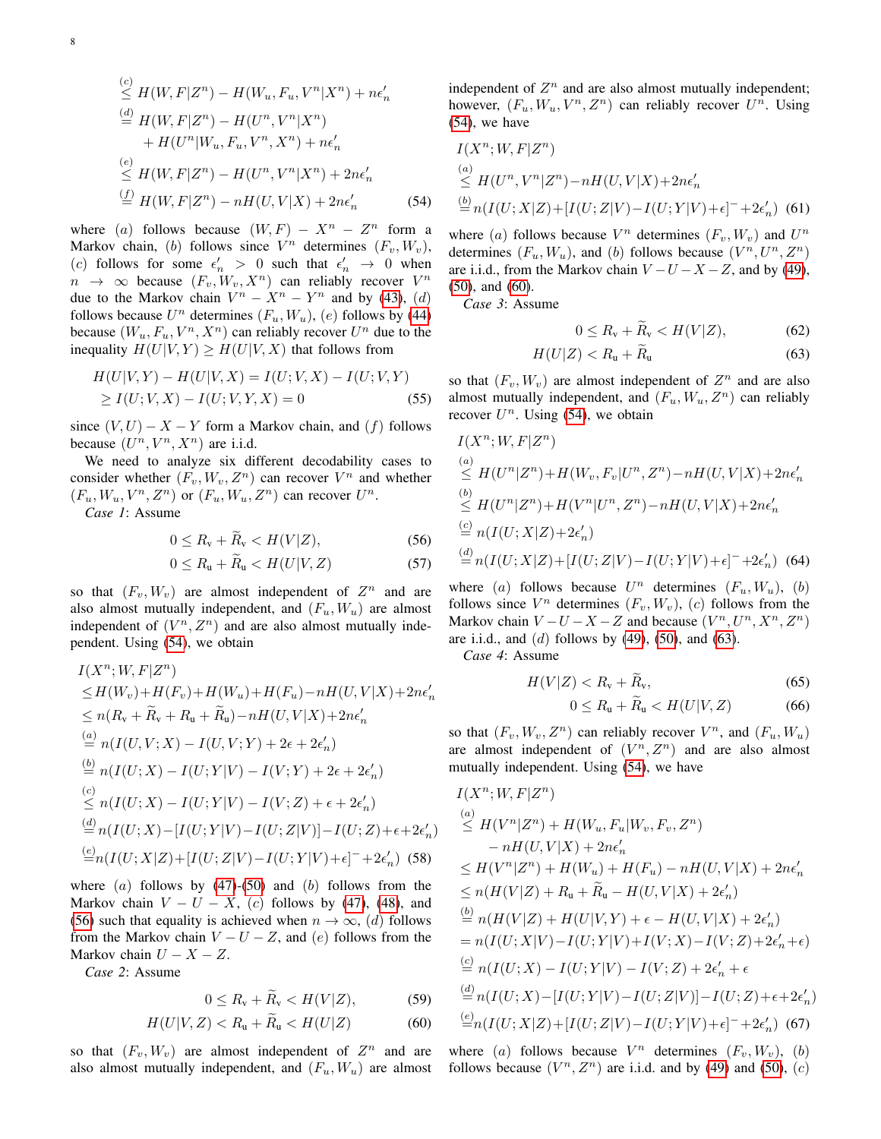$$
\leq H(W, F|Z^n) - H(W_u, F_u, V^n|X^n) + n\epsilon'_n
$$
\n
$$
\stackrel{(d)}{=} H(W, F|Z^n) - H(U^n, V^n|X^n) + H(U^n|W_u, F_u, V^n, X^n) + n\epsilon'_n
$$
\n
$$
\leq H(W, F|Z^n) - H(U^n, V^n|X^n) + 2n\epsilon'_n
$$
\n
$$
\stackrel{(f)}{=} H(W, F|Z^n) - nH(U, V|X) + 2n\epsilon'_n \tag{54}
$$

where (a) follows because  $(W, F) - X^n - Z^n$  form a Markov chain, (b) follows since  $V^n$  determines  $(F_v, W_v)$ , (c) follows for some  $\epsilon'_n > 0$  such that  $\epsilon'_n \to 0$  when  $n \rightarrow \infty$  because  $(F_v, W_v, X^n)$  can reliably recover  $V^n$ due to the Markov chain  $V^n - X^n - Y^n$  and by [\(43\)](#page-6-2), (d) follows because  $U^n$  determines  $(F_u, W_u)$ ,  $(e)$  follows by [\(44\)](#page-6-3) because  $(W_u, F_u, V^n, X^n)$  can reliably recover  $U^n$  due to the inequality  $H(U|V, Y) \geq H(U|V, X)$  that follows from

$$
H(U|V,Y) - H(U|V,X) = I(U;V,X) - I(U;V,Y)
$$
  
\n
$$
\geq I(U;V,X) - I(U;V,Y,X) = 0
$$
 (55)

since  $(V, U) - X - Y$  form a Markov chain, and  $(f)$  follows because  $(U^n, V^n, X^n)$  are i.i.d.

We need to analyze six different decodability cases to consider whether  $(F_v, W_v, Z^n)$  can recover  $V^n$  and whether  $(F_u, W_u, V^n, Z^n)$  or  $(F_u, W_u, Z^n)$  can recover  $U^n$ .

*Case 1*: Assume

$$
0 \le R_{\rm v} + \widetilde{R}_{\rm v} < H(V|Z),\tag{56}
$$

$$
0 \le R_{\rm u} + \widetilde{R}_{\rm u} < H(U|V, Z) \tag{57}
$$

so that  $(F_v, W_v)$  are almost independent of  $Z^n$  and are also almost mutually independent, and  $(F_u, W_u)$  are almost independent of  $(V^n, Z^n)$  and are also almost mutually independent. Using [\(54\)](#page-7-0), we obtain

$$
I(X^{n}; W, F|Z^{n})
$$
  
\n
$$
\leq H(W_{v}) + H(F_{v}) + H(W_{u}) + H(F_{u}) - nH(U, V|X) + 2n\epsilon'_{n}
$$
  
\n
$$
\leq n(R_{v} + \tilde{R}_{v} + R_{u} + \tilde{R}_{u}) - nH(U, V|X) + 2n\epsilon'_{n}
$$
  
\n
$$
\stackrel{(a)}{=} n(I(U, V; X) - I(U, V; Y) + 2\epsilon + 2\epsilon'_{n})
$$
  
\n
$$
\stackrel{(b)}{=} n(I(U; X) - I(U; Y|V) - I(V; Y) + 2\epsilon + 2\epsilon'_{n})
$$
  
\n
$$
\stackrel{(c)}{\leq} n(I(U; X) - I(U; Y|V) - I(V; Z) + \epsilon + 2\epsilon'_{n})
$$
  
\n
$$
\stackrel{(d)}{=} n(I(U; X) - [I(U; Y|V) - I(U; Z|V)] - I(U; Z) + \epsilon + 2\epsilon'_{n})
$$
  
\n
$$
\stackrel{(e)}{=} n(I(U; X|Z) + [I(U; Z|V) - I(U; Y|V) + \epsilon]^{-} + 2\epsilon'_{n})
$$
(58)

where  $(a)$  follows by  $(47)$ - $(50)$  and  $(b)$  follows from the Markov chain  $V - U - X$ , (c) follows by [\(47\)](#page-6-5), [\(48\)](#page-6-8), and [\(56\)](#page-7-1) such that equality is achieved when  $n \to \infty$ , (d) follows from the Markov chain  $V - U - Z$ , and  $(e)$  follows from the Markov chain  $U - X - Z$ .

*Case 2*: Assume

$$
0 \le R_{\rm v} + R_{\rm v} < H(V|Z),\tag{59}
$$

$$
H(U|V,Z) < R_{\rm u} + R_{\rm u} < H(U|Z) \tag{60}
$$

so that  $(F_v, W_v)$  are almost independent of  $Z^n$  and are also almost mutually independent, and  $(F_u, W_u)$  are almost follows because  $(V^n, Z^n)$  are i.i.d. and by [\(49\)](#page-6-9) and [\(50\)](#page-6-6), (c)

independent of  $Z<sup>n</sup>$  and are also almost mutually independent; however,  $(F_u, W_u, V^n, Z^n)$  can reliably recover  $U^n$ . Using [\(54\)](#page-7-0), we have

$$
I(X^n; W, F|Z^n)
$$
  
\n
$$
\leq H(U^n, V^n|Z^n) - nH(U, V|X) + 2n\epsilon'_n
$$
  
\n
$$
\stackrel{(b)}{=} n(I(U; X|Z) + [I(U; Z|V) - I(U; Y|V) + \epsilon]^- + 2\epsilon'_n)
$$
 (61)

<span id="page-7-0"></span>where (a) follows because  $V^n$  determines  $(F_v, W_v)$  and  $U^n$ determines  $(F_u, W_u)$ , and (b) follows because  $(V^n, U^n, Z^n)$ are i.i.d., from the Markov chain  $V-U-X-Z$ , and by [\(49\)](#page-6-9), [\(50\)](#page-6-6), and [\(60\)](#page-7-2).

*Case 3*: Assume

<span id="page-7-11"></span><span id="page-7-7"></span><span id="page-7-3"></span>
$$
0 \le R_{\rm v} + \tilde{R}_{\rm v} < H(V|Z),\tag{62}
$$

$$
H(U|Z) < R_{\rm u} + R_{\rm u} \tag{63}
$$

<span id="page-7-4"></span>so that  $(F_v, W_v)$  are almost independent of  $Z^n$  and are also almost mutually independent, and  $(F_u, W_u, Z^n)$  can reliably recover  $U^n$ . Using [\(54\)](#page-7-0), we obtain

$$
I(X^{n}; W, F|Z^{n})
$$
  
\n
$$
\leq H(U^{n}|Z^{n}) + H(W_{v}, F_{v}|U^{n}, Z^{n}) - nH(U, V|X) + 2n\epsilon'_{n}
$$
  
\n
$$
\leq H(U^{n}|Z^{n}) + H(V^{n}|U^{n}, Z^{n}) - nH(U, V|X) + 2n\epsilon'_{n}
$$
  
\n
$$
\stackrel{(c)}{=} n(I(U; X|Z) + 2\epsilon'_{n})
$$
  
\n
$$
\stackrel{(d)}{=} n(I(U; X|Z) + [I(U; Z|V) - I(U; Y|V) + \epsilon]^{-} + 2\epsilon'_{n})
$$
 (64)

<span id="page-7-5"></span><span id="page-7-1"></span>where (a) follows because  $U^n$  determines  $(F_u, W_u)$ , (b) follows since  $V^n$  determines  $(F_v, W_v)$ ,  $(c)$  follows from the Markov chain  $V-U-X-Z$  and because  $(V^n, U^n, X^n, Z^n)$ are i.i.d., and  $(d)$  follows by [\(49\)](#page-6-9), [\(50\)](#page-6-6), and [\(63\)](#page-7-3).

*Case 4*: Assume

$$
H(V|Z) < R_{\rm v} + \widetilde{R}_{\rm v},\tag{65}
$$

<span id="page-7-12"></span><span id="page-7-9"></span><span id="page-7-8"></span>
$$
0 \le R_{\rm u} + \widetilde{R}_{\rm u} < H(U|V, Z) \tag{66}
$$

so that  $(F_v, W_v, Z^n)$  can reliably recover  $V^n$ , and  $(F_u, W_u)$ are almost independent of  $(V^n, Z^n)$  and are also almost mutually independent. Using [\(54\)](#page-7-0), we have

<span id="page-7-10"></span>
$$
I(X^{n}; W, F|Z^{n})
$$
  
\n
$$
\leq H(V^{n}|Z^{n}) + H(W_{u}, F_{u}|W_{v}, F_{v}, Z^{n})
$$
  
\n
$$
-nH(U, V|X) + 2n\epsilon'_{n}
$$
  
\n
$$
\leq H(V^{n}|Z^{n}) + H(W_{u}) + H(F_{u}) - nH(U, V|X) + 2n\epsilon'_{n}
$$
  
\n
$$
\leq n(H(V|Z) + R_{u} + \widetilde{R}_{u} - H(U, V|X) + 2\epsilon'_{n})
$$
  
\n
$$
\stackrel{(b)}{=} n(H(V|Z) + H(U|V,Y) + \epsilon - H(U, V|X) + 2\epsilon'_{n})
$$
  
\n
$$
= n(I(U;X|V) - I(U;Y|V) + I(V;X) - I(V;Z) + 2\epsilon'_{n} + \epsilon)
$$
  
\n
$$
\stackrel{(c)}{=} n(I(U;X) - [I(U;Y|V) - I(U;Z|V)] - I(U;Z) + \epsilon + 2\epsilon'_{n})
$$
  
\n
$$
\stackrel{(d)}{=} n(I(U;X) - [I(U;Y|V) - I(U;Z|V)] - I(U;Z) + \epsilon + 2\epsilon'_{n})
$$
  
\n
$$
\stackrel{(e)}{=} n(I(U;X|Z) + [I(U;Z|V) - I(U;Y|V) + \epsilon]^{-} + 2\epsilon'_{n})
$$
 (67)

<span id="page-7-13"></span><span id="page-7-6"></span><span id="page-7-2"></span>where (a) follows because  $V^n$  determines  $(F_v, W_v)$ , (b)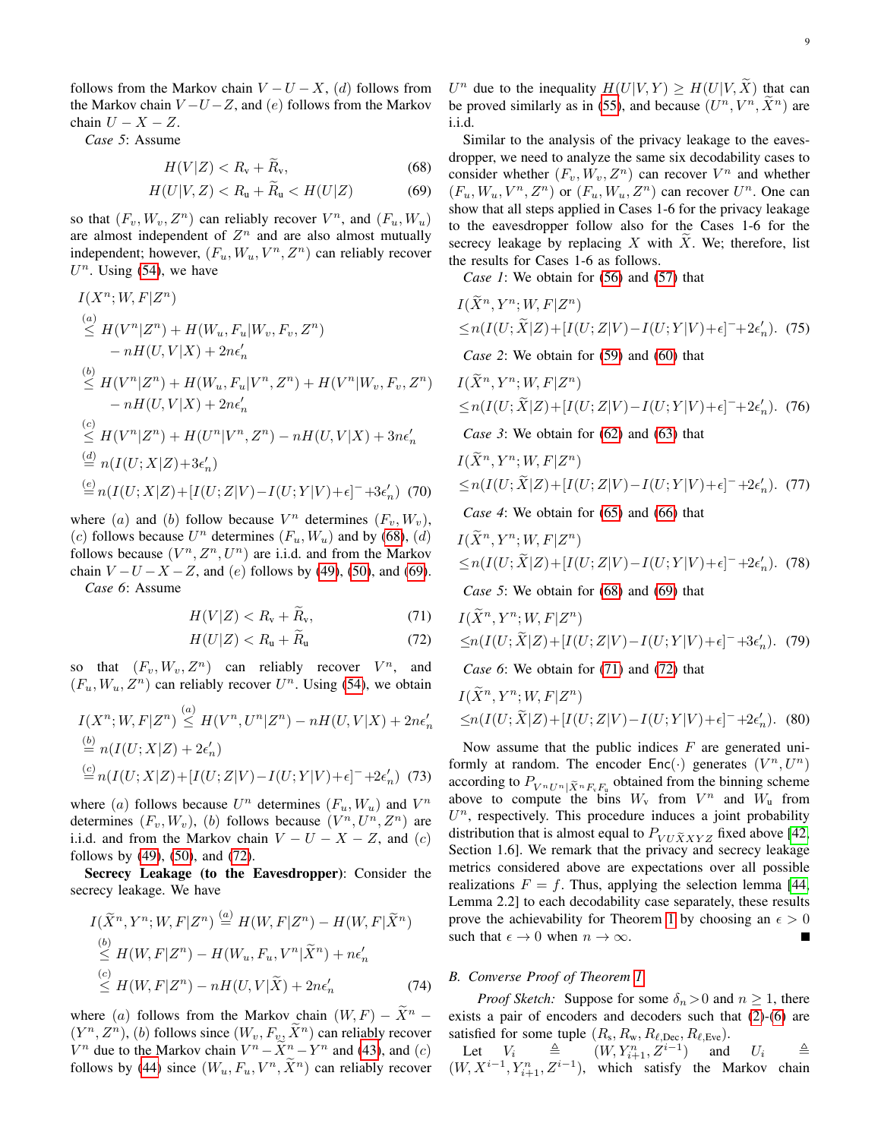follows from the Markov chain  $V - U - X$ , (d) follows from the Markov chain  $V-U-Z$ , and  $(e)$  follows from the Markov chain  $U - X - Z$ .

*Case 5*: Assume

$$
H(V|Z) < R_{\rm v} + R_{\rm v},\tag{68}
$$

$$
H(U|V,Z) < R_{\rm u} + R_{\rm u} < H(U|Z) \tag{69}
$$

so that  $(F_v, W_v, Z^n)$  can reliably recover  $V^n$ , and  $(F_u, W_u)$ are almost independent of  $Z<sup>n</sup>$  and are also almost mutually independent; however,  $(F_u, W_u, V^n, Z^n)$  can reliably recover  $U<sup>n</sup>$ . Using [\(54\)](#page-7-0), we have

$$
I(X^{n}; W, F|Z^{n})
$$
\n
$$
\stackrel{(a)}{\leq} H(V^{n}|Z^{n}) + H(W_{u}, F_{u}|W_{v}, F_{v}, Z^{n})
$$
\n
$$
-nH(U, V|X) + 2n\epsilon'_{n}
$$
\n
$$
\stackrel{(b)}{\leq} H(V^{n}|Z^{n}) + H(W_{u}, F_{u}|V^{n}, Z^{n}) + H(V^{n}|W_{v}, F_{v}, Z^{n})
$$
\n
$$
-nH(U, V|X) + 2n\epsilon'_{n}
$$
\n
$$
\stackrel{(c)}{\leq} H(V^{n}|Z^{n}) + H(U^{n}|V^{n}, Z^{n}) - nH(U, V|X) + 3n\epsilon'_{n}
$$
\n
$$
\stackrel{(d)}{=} n(I(U; X|Z) + 3\epsilon'_{n})
$$
\n
$$
\stackrel{(e)}{=} n(I(U; X|Z) + [I(U; Z|V) - I(U; Y|V) + \epsilon]^{-} + 3\epsilon'_{n})
$$
\n(70)

where (a) and (b) follow because  $V^n$  determines  $(F_v, W_v)$ , (c) follows because  $U^n$  determines  $(F_u, W_u)$  and by [\(68\)](#page-8-1), (d) follows because  $(V^n, Z^n, U^n)$  are i.i.d. and from the Markov chain  $V-U-X-Z$ , and (e) follows by [\(49\)](#page-6-9), [\(50\)](#page-6-6), and [\(69\)](#page-8-2). *Case 6*: Assume

$$
H(V|Z) < R_{\rm v} + \widetilde{R}_{\rm v},\tag{71}
$$

$$
H(U|Z) < R_{\rm u} + \widetilde{R}_{\rm u} \tag{72}
$$

so that  $(F_v, W_v, Z^n)$  can reliably recover  $V^n$ , and  $(F_u, W_u, Z^n)$  can reliably recover  $U^n$ . Using [\(54\)](#page-7-0), we obtain

$$
I(X^n; W, F|Z^n) \stackrel{(a)}{\leq} H(V^n, U^n|Z^n) - nH(U, V|X) + 2n\epsilon'_n
$$
  
\n
$$
\stackrel{(b)}{=} n(I(U; X|Z) + 2\epsilon'_n)
$$
  
\n
$$
\stackrel{(c)}{=} n(I(U; X|Z) + [I(U;Z|V) - I(U;Y|V) + \epsilon]^- + 2\epsilon'_n) \tag{73}
$$

where (a) follows because  $U^n$  determines  $(F_u, W_u)$  and  $V^n$ determines  $(F_v, W_v)$ , (b) follows because  $(V^n, U^n, Z^n)$  are i.i.d. and from the Markov chain  $V - U - X - Z$ , and (c) follows by [\(49\)](#page-6-9), [\(50\)](#page-6-6), and [\(72\)](#page-8-3).

Secrecy Leakage (to the Eavesdropper): Consider the secrecy leakage. We have

$$
I(\widetilde{X}^n, Y^n; W, F|Z^n) \stackrel{(a)}{=} H(W, F|Z^n) - H(W, F|\widetilde{X}^n)
$$
  
\n
$$
\stackrel{(b)}{\leq} H(W, F|Z^n) - H(W_u, F_u, V^n|\widetilde{X}^n) + n\epsilon'_n
$$
  
\n
$$
\stackrel{(c)}{\leq} H(W, F|Z^n) - nH(U, V|\widetilde{X}) + 2n\epsilon'_n
$$
\n(74)

where (a) follows from the Markov chain  $(W, F) - \tilde{X}^n$  –  $(Y^n, Z^n)$ , (b) follows since  $(W_v, F_v, \tilde{X}^n)$  can reliably recover  $V^n$  due to the Markov chain  $V^n - \tilde{X}^n - Y^n$  and [\(43\)](#page-6-2), and (c) follows by [\(44\)](#page-6-3) since  $(W_u, F_u, V^n, \tilde{X}^n)$  can reliably recover

 $U^n$  due to the inequality  $H(U|V,Y) \geq H(U|V,\tilde{X})$  that can be proved similarly as in [\(55\)](#page-7-4), and because  $(U^n, V^n, \tilde{X}^n)$  are i.i.d.

<span id="page-8-2"></span><span id="page-8-1"></span>Similar to the analysis of the privacy leakage to the eavesdropper, we need to analyze the same six decodability cases to consider whether  $(F_v, W_v, Z^n)$  can recover  $V^n$  and whether  $(F_u, W_u, V^n, Z^n)$  or  $(F_u, W_u, Z^n)$  can recover  $U^n$ . One can show that all steps applied in Cases 1-6 for the privacy leakage to the eavesdropper follow also for the Cases 1-6 for the secrecy leakage by replacing  $X$  with  $X$ . We; therefore, list the results for Cases 1-6 as follows.

*Case 1*: We obtain for [\(56\)](#page-7-1) and [\(57\)](#page-7-5) that

$$
I(\widetilde{X}^n, Y^n; W, F|Z^n)
$$
  
\n
$$
\leq n(I(U; \widetilde{X}|Z) + [I(U; Z|V) - I(U; Y|V) + \epsilon]^{-} + 2\epsilon_n').
$$
 (75)

*Case 2*: We obtain for [\(59\)](#page-7-6) and [\(60\)](#page-7-2) that

$$
I(\widetilde{X}^n, Y^n; W, F|Z^n)
$$
  
\n
$$
\leq n(I(U; \widetilde{X}|Z) + [I(U; Z|V) - I(U; Y|V) + \epsilon]^{-} + 2\epsilon_n').
$$
 (76)

*Case 3*: We obtain for [\(62\)](#page-7-7) and [\(63\)](#page-7-3) that

<span id="page-8-5"></span>
$$
I(\widetilde{X}^n, Y^n; W, F|Z^n)
$$
  
\n
$$
\leq n(I(U; \widetilde{X}|Z) + [I(U; Z|V) - I(U; Y|V) + \epsilon]^{-1} + 2\epsilon'_n).
$$
 (77)

*Case 4*: We obtain for [\(65\)](#page-7-8) and [\(66\)](#page-7-9) that

$$
I(\widetilde{X}^n, Y^n; W, F|Z^n)
$$
  
\n
$$
\leq n(I(U; \widetilde{X}|Z) + [I(U; Z|V) - I(U; Y|V) + \epsilon]^{-} + 2\epsilon'_n).
$$
 (78)

*Case 5*: We obtain for [\(68\)](#page-8-1) and [\(69\)](#page-8-2) that

<span id="page-8-4"></span><span id="page-8-3"></span>
$$
I(\widetilde{X}^n, Y^n; W, F|Z^n)
$$
  
\n
$$
\leq n(I(U; \widetilde{X}|Z) + [I(U; Z|V) - I(U; Y|V) + \epsilon]^{-1} + 3\epsilon'_n).
$$
 (79)

*Case 6*: We obtain for [\(71\)](#page-8-4) and [\(72\)](#page-8-3) that

$$
I(\widetilde{X}^n, Y^n; W, F|Z^n)
$$
  
\n
$$
\leq n(I(U; \widetilde{X}|Z) + [I(U; Z|V) - I(U; Y|V) + \epsilon]^{-} + 2\epsilon'_n).
$$
 (80)

<span id="page-8-6"></span>Now assume that the public indices  $F$  are generated uniformly at random. The encoder  $Enc(\cdot)$  generates  $(V^n, U^n)$ according to  $P_{V^n U^n}$   $\tilde{X}^n F_v F_v$  obtained from the binning scheme above to compute the bins  $W_{v}$  from  $V^{n}$  and  $W_{u}$  from  $U<sup>n</sup>$ , respectively. This procedure induces a joint probability distribution that is almost equal to  $P_{VU\tilde{X}XYZ}$  fixed above [\[42,](#page-15-9) Section 1.6]. We remark that the privacy and secrecy leakage metrics considered above are expectations over all possible realizations  $F = f$ . Thus, applying the selection lemma [\[44,](#page-15-11) Lemma 2.2] to each decodability case separately, these results prove the achievability for Theorem [1](#page-3-8) by choosing an  $\epsilon > 0$ such that  $\epsilon \to 0$  when  $n \to \infty$ . П

## <span id="page-8-0"></span>*B. Converse Proof of Theorem [1](#page-3-8)*

*Proof Sketch:* Suppose for some  $\delta_n > 0$  and  $n \geq 1$ , there exists a pair of encoders and decoders such that [\(2\)](#page-2-5)-[\(6\)](#page-2-4) are satisfied for some tuple  $(R_s, R_w, R_{\ell, \text{Dec}}, R_{\ell, \text{Eve}})$ .

Let  $V_i \triangleq (W, Y_{i+1}^n, Z^{i-1})$  and  $U_i \triangleq$  $(W, X^{i-1}, Y_{i+1}^n, Z^{i-1})$ , which satisfy the Markov chain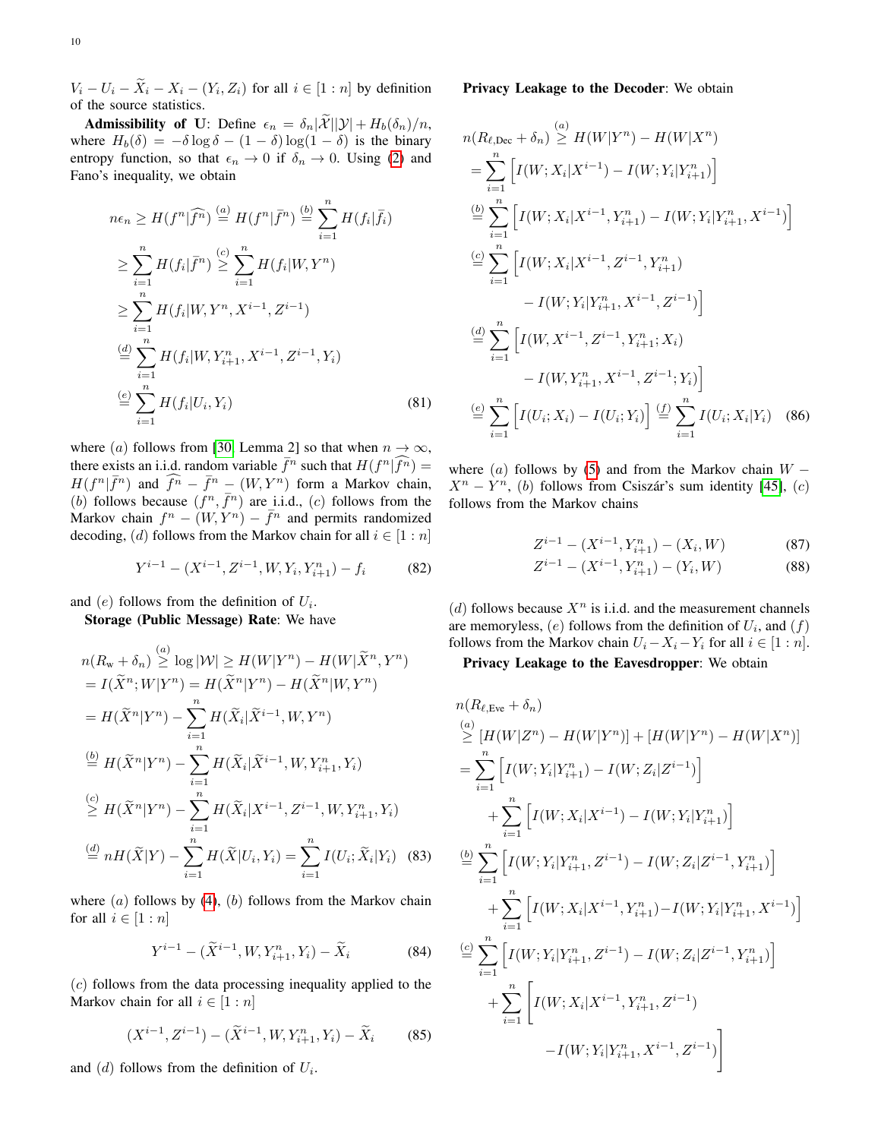$V_i - U_i - X_i - X_i - (Y_i, Z_i)$  for all  $i \in [1:n]$  by definition of the source statistics.

**Admissibility of U:** Define  $\epsilon_n = \delta_n |\tilde{\mathcal{X}}| |\mathcal{Y}| + H_b(\delta_n)/n$ , where  $H_b(\delta) = -\delta \log \delta - (1 - \delta) \log(1 - \delta)$  is the binary entropy function, so that  $\epsilon_n \to 0$  if  $\delta_n \to 0$ . Using [\(2\)](#page-2-5) and Fano's inequality, we obtain

$$
n\epsilon_n \ge H(f^n | \widehat{f^n}) \stackrel{(a)}{=} H(f^n | \bar{f^n}) \stackrel{(b)}{=} \sum_{i=1}^n H(f_i | \bar{f_i})
$$
  
\n
$$
\ge \sum_{i=1}^n H(f_i | \bar{f^n}) \stackrel{(c)}{=} \sum_{i=1}^n H(f_i | W, Y^n)
$$
  
\n
$$
\ge \sum_{i=1}^n H(f_i | W, Y^n, X^{i-1}, Z^{i-1})
$$
  
\n
$$
\stackrel{(d)}{=} \sum_{i=1}^n H(f_i | W, Y_{i+1}^n, X^{i-1}, Z^{i-1}, Y_i)
$$
  
\n
$$
\stackrel{(e)}{=} \sum_{i=1}^n H(f_i | U_i, Y_i)
$$
  
\n(81)

where (a) follows from [\[30,](#page-14-18) Lemma 2] so that when  $n \to \infty$ , there exists an i.i.d. random variable  $\bar{f}^n$  such that  $H(f^n|\widehat{f}^n) =$  $H(f^n | \bar{f}^n)$  and  $\widehat{f}^n - \bar{f}^n - (W, Y^n)$  form a Markov chain, (b) follows because  $(f^n, \bar{f}^n)$  are i.i.d., (c) follows from the Markov chain  $f^n - (W, Y^n) - \bar{f}^n$  and permits randomized decoding, (d) follows from the Markov chain for all  $i \in [1:n]$ 

$$
Y^{i-1} - (X^{i-1}, Z^{i-1}, W, Y_i, Y_{i+1}^n) - f_i \tag{82}
$$

and  $(e)$  follows from the definition of  $U_i$ .

Storage (Public Message) Rate: We have

$$
n(R_{w} + \delta_{n}) \stackrel{(a)}{\geq} \log |\mathcal{W}| \geq H(W|Y^{n}) - H(W|\tilde{X}^{n}, Y^{n})
$$
  
\n
$$
= I(\tilde{X}^{n}; W|Y^{n}) = H(\tilde{X}^{n}|Y^{n}) - H(\tilde{X}^{n}|W, Y^{n})
$$
  
\n
$$
= H(\tilde{X}^{n}|Y^{n}) - \sum_{i=1}^{n} H(\tilde{X}_{i}|\tilde{X}^{i-1}, W, Y^{n})
$$
  
\n
$$
\stackrel{(b)}{\geq} H(\tilde{X}^{n}|Y^{n}) - \sum_{i=1}^{n} H(\tilde{X}_{i}|\tilde{X}^{i-1}, W, Y^{n}_{i+1}, Y_{i})
$$
  
\n
$$
\stackrel{(c)}{\geq} H(\tilde{X}^{n}|Y^{n}) - \sum_{i=1}^{n} H(\tilde{X}_{i}|X^{i-1}, Z^{i-1}, W, Y^{n}_{i+1}, Y_{i})
$$
  
\n
$$
\stackrel{(d)}{=} nH(\tilde{X}|Y) - \sum_{i=1}^{n} H(\tilde{X}|U_{i}, Y_{i}) = \sum_{i=1}^{n} I(U_{i}; \tilde{X}_{i}|Y_{i}) \quad (83)
$$

where  $(a)$  follows by  $(4)$ ,  $(b)$  follows from the Markov chain for all  $i \in [1:n]$ 

<span id="page-9-4"></span>
$$
Y^{i-1} - (\widetilde{X}^{i-1}, W, Y_{i+1}^n, Y_i) - \widetilde{X}_i
$$
 (84)

(c) follows from the data processing inequality applied to the Markov chain for all  $i \in [1:n]$ 

$$
(X^{i-1}, Z^{i-1}) - (\widetilde{X}^{i-1}, W, Y_{i+1}^n, Y_i) - \widetilde{X}_i \tag{85}
$$

and  $(d)$  follows from the definition of  $U_i$ .

## Privacy Leakage to the Decoder: We obtain

$$
n(R_{\ell,Dec} + \delta_n) \stackrel{(a)}{\geq} H(W|Y^n) - H(W|X^n)
$$
  
\n
$$
= \sum_{i=1}^n \left[ I(W; X_i|X^{i-1}) - I(W; Y_i|Y_{i+1}^n) \right]
$$
  
\n
$$
\stackrel{(b)}{=} \sum_{i=1}^n \left[ I(W; X_i|X^{i-1}, Y_{i+1}^n) - I(W; Y_i|Y_{i+1}^n, X^{i-1}) \right]
$$
  
\n
$$
\stackrel{(c)}{=} \sum_{i=1}^n \left[ I(W; X_i|X^{i-1}, Z^{i-1}, Y_{i+1}^n) - I(W; Y_i|Y_{i+1}^n, X^{i-1}, Z^{i-1}) \right]
$$
  
\n
$$
\stackrel{(d)}{=} \sum_{i=1}^n \left[ I(W, X^{i-1}, Z^{i-1}, Y_{i+1}^n; X_i) - I(W, Y_{i+1}^n, X^{i-1}, Z^{i-1}; Y_i) \right]
$$
  
\n
$$
\stackrel{(e)}{=} \sum_{i=1}^n \left[ I(U_i; X_i) - I(U_i; Y_i) \right] \stackrel{(f)}{=} \sum_{i=1}^n I(U_i; X_i|Y_i) \quad (86)
$$

<span id="page-9-0"></span>where  $(a)$  follows by [\(5\)](#page-2-3) and from the Markov chain  $W X^n - Y^n$ , (b) follows from Csiszár's sum identity [\[45\]](#page-15-12), (c) follows from the Markov chains

<span id="page-9-6"></span><span id="page-9-1"></span>
$$
Z^{i-1} - (X^{i-1}, Y^n_{i+1}) - (X_i, W) \tag{87}
$$

<span id="page-9-2"></span>
$$
Z^{i-1} - (X^{i-1}, Y_{i+1}^n) - (Y_i, W) \tag{88}
$$

(d) follows because  $X^n$  is i.i.d. and the measurement channels are memoryless,  $(e)$  follows from the definition of  $U_i$ , and  $(f)$ follows from the Markov chain  $U_i - X_i - Y_i$  for all  $i \in [1:n]$ .

# Privacy Leakage to the Eavesdropper: We obtain

<span id="page-9-5"></span><span id="page-9-3"></span>
$$
n(R_{\ell, Eve} + \delta_n)
$$
\n
$$
\stackrel{(a)}{\geq} [H(W|Z^n) - H(W|Y^n)] + [H(W|Y^n) - H(W|X^n)]
$$
\n
$$
= \sum_{i=1}^n \left[ I(W; Y_i|Y_{i+1}^n) - I(W; Z_i|Z^{i-1}) \right]
$$
\n
$$
+ \sum_{i=1}^n \left[ I(W; X_i|X^{i-1}) - I(W; Y_i|Y_{i+1}^n) \right]
$$
\n
$$
\stackrel{(b)}{=} \sum_{i=1}^n \left[ I(W; Y_i|Y_{i+1}^n, Z^{i-1}) - I(W; Z_i|Z^{i-1}, Y_{i+1}^n) \right]
$$
\n
$$
+ \sum_{i=1}^n \left[ I(W; X_i|X^{i-1}, Y_{i+1}^n) - I(W; Y_i|Y_{i+1}^n, X^{i-1}) \right]
$$
\n
$$
\stackrel{(c)}{=} \sum_{i=1}^n \left[ I(W; Y_i|Y_{i+1}^n, Z^{i-1}) - I(W; Z_i|Z^{i-1}, Y_{i+1}^n) \right]
$$
\n
$$
+ \sum_{i=1}^n \left[ I(W; X_i|X^{i-1}, Y_{i+1}^n, Z^{i-1}) - I(W; Z_i|Z^{i-1}, Y_{i+1}^n) \right]
$$
\n
$$
-I(W; Y_i|Y_{i+1}^n, X^{i-1}, Z^{i-1})
$$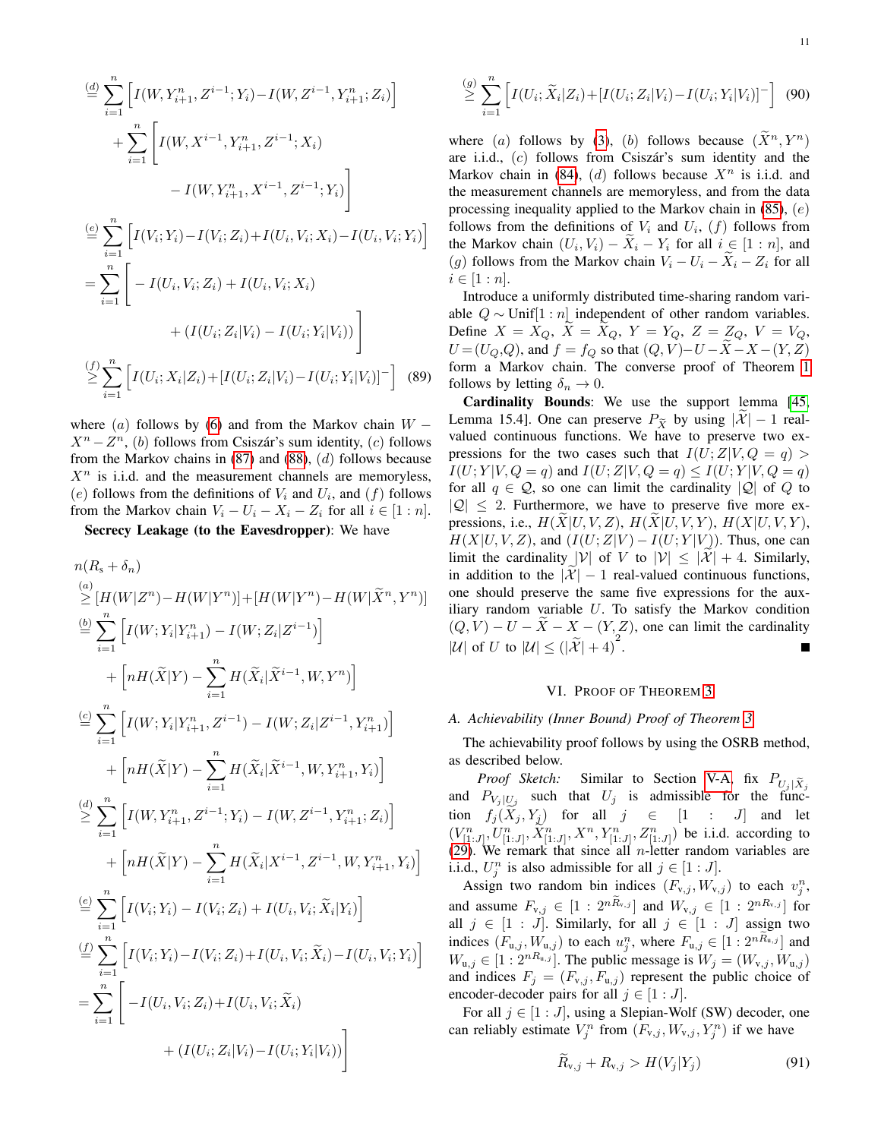$$
\stackrel{(d)}{=} \sum_{i=1}^{n} \left[ I(W, Y_{i+1}^{n}, Z^{i-1}; Y_i) - I(W, Z^{i-1}, Y_{i+1}^{n}; Z_i) \right]
$$
\n
$$
+ \sum_{i=1}^{n} \left[ I(W, X^{i-1}, Y_{i+1}^{n}, Z^{i-1}; X_i) - I(W, Y_{i+1}^{n}, X^{i-1}, Z^{i-1}; Y_i) \right]
$$
\n
$$
\stackrel{(e)}{=} \sum_{i=1}^{n} \left[ I(V_i; Y_i) - I(V_i; Z_i) + I(U_i, V_i; X_i) - I(U_i, V_i; Y_i) \right]
$$
\n
$$
= \sum_{i=1}^{n} \left[ -I(U_i, V_i; Z_i) + I(U_i, V_i; X_i) + \left( I(U_i; Z_i | V_i) - I(U_i; Y_i | V_i) \right) \right]
$$
\n
$$
\stackrel{(f)}{\geq} \sum_{i=1}^{n} \left[ I(U_i; X_i | Z_i) + [I(U_i; Z_i | V_i) - I(U_i; Y_i | V_i)]^- \right] \quad (89)
$$

where (a) follows by [\(6\)](#page-2-4) and from the Markov chain  $W X^n - Z^n$ , (b) follows from Csiszár's sum identity, (c) follows from the Markov chains in  $(87)$  and  $(88)$ ,  $(d)$  follows because  $X<sup>n</sup>$  is i.i.d. and the measurement channels are memoryless, (e) follows from the definitions of  $V_i$  and  $U_i$ , and  $(f)$  follows from the Markov chain  $V_i - U_i - X_i - Z_i$  for all  $i \in [1:n]$ .

Secrecy Leakage (to the Eavesdropper): We have

$$
n(R_{s} + \delta_{n})
$$
\n
$$
\leq [H(W|Z^{n}) - H(W|Y^{n})] + [H(W|Y^{n}) - H(W|\tilde{X}^{n}, Y^{n})]
$$
\n
$$
\stackrel{(b)}{=} \sum_{i=1}^{n} \left[ I(W; Y_{i}|Y_{i+1}^{n}) - I(W; Z_{i}|Z^{i-1}) \right]
$$
\n
$$
+ \left[ nH(\tilde{X}|Y) - \sum_{i=1}^{n} H(\tilde{X}_{i}|\tilde{X}^{i-1}, W, Y^{n}) \right]
$$
\n
$$
\stackrel{(c)}{=} \sum_{i=1}^{n} \left[ I(W; Y_{i}|Y_{i+1}^{n}, Z^{i-1}) - I(W; Z_{i}|Z^{i-1}, Y_{i+1}^{n}) \right]
$$
\n
$$
+ \left[ nH(\tilde{X}|Y) - \sum_{i=1}^{n} H(\tilde{X}_{i}|\tilde{X}^{i-1}, W, Y_{i+1}^{n}, Y_{i}) \right]
$$
\n
$$
\stackrel{(d)}{=} \sum_{i=1}^{n} \left[ I(W, Y_{i+1}^{n}, Z^{i-1}; Y_{i}) - I(W, Z^{i-1}, Y_{i+1}^{n}; Z_{i}) \right]
$$
\n
$$
+ \left[ nH(\tilde{X}|Y) - \sum_{i=1}^{n} H(\tilde{X}_{i}|X^{i-1}, Z^{i-1}, W, Y_{i+1}^{n}, Y_{i}) \right]
$$
\n
$$
\stackrel{(e)}{=} \sum_{i=1}^{n} \left[ I(V_{i}; Y_{i}) - I(V_{i}; Z_{i}) + I(U_{i}, V_{i}; \tilde{X}_{i}|Y_{i}) \right]
$$
\n
$$
\stackrel{(f)}{=} \sum_{i=1}^{n} \left[ I(V_{i}; Y_{i}) - I(V_{i}; Z_{i}) + I(U_{i}, V_{i}; \tilde{X}_{i}) - I(U_{i}, V_{i}; Y_{i}) \right]
$$
\n
$$
= \sum_{i=1}^{n} \left[ -I(U_{i}, V_{i}; Z_{i}) + I(U_{i}, V_{i}; \tilde{X}_{i}) \right]
$$
\n
$$
+ (I(U_{i}; Z_{i}|V_{i}) - I(U_{i}; Y_{i}|V_{i})) \right]
$$

$$
\stackrel{(g)}{\geq} \sum_{i=1}^{n} \left[ I(U_i; \widetilde{X}_i | Z_i) + [I(U_i; Z_i | V_i) - I(U_i; Y_i | V_i)]^- \right] \tag{90}
$$

where (a) follows by [\(3\)](#page-2-2), (b) follows because  $(\tilde{X}^n, Y^n)$ are i.i.d.,  $(c)$  follows from Csiszár's sum identity and the Markov chain in [\(84\)](#page-9-3), (d) follows because  $X<sup>n</sup>$  is i.i.d. and the measurement channels are memoryless, and from the data processing inequality applied to the Markov chain in  $(85)$ ,  $(e)$ follows from the definitions of  $V_i$  and  $U_i$ ,  $(f)$  follows from the Markov chain  $(U_i, V_i) - X_i - Y_i$  for all  $i \in [1:n]$ , and (g) follows from the Markov chain  $V_i - U_i - \overline{X}_i - Z_i$  for all  $i \in [1:n]$ .

Introduce a uniformly distributed time-sharing random variable  $Q \sim$  Unif[1 : *n*] independent of other random variables. Define  $X = X_Q$ ,  $\widetilde{X} = \widetilde{X}_Q$ ,  $Y = Y_Q$ ,  $Z = Z_Q$ ,  $V = V_Q$ ,  $U = (U_Q, Q)$ , and  $f = f_Q$  so that  $(Q, V) - U - \tilde{X} - X - (Y, Z)$ form a Markov chain. The converse proof of Theorem [1](#page-3-8) follows by letting  $\delta_n \to 0$ .

Cardinality Bounds: We use the support lemma [\[45,](#page-15-12) Lemma 15.4]. One can preserve  $P_{\tilde{X}}$  by using  $|\mathcal{X}| - 1$  realvalued continuous functions. We have to preserve two expressions for the two cases such that  $I(U;Z|V,Q = q)$  $I(U; Y | V, Q = q)$  and  $I(U; Z | V, Q = q) \leq I(U; Y | V, Q = q)$ for all  $q \in \mathcal{Q}$ , so one can limit the cardinality  $|\mathcal{Q}|$  of Q to  $|Q| \leq 2$ . Furthermore, we have to preserve five more expressions, i.e.,  $H(X|U, V, Z)$ ,  $H(X|U, V, Y)$ ,  $H(X|U, V, Y)$ ,  $H(X|U, V, Z)$ , and  $(I(U; Z|V) - I(U; Y|V))$ . Thus, one can limit the cardinality  $|V|$  of V to  $|V| \leq |\mathcal{X}| + 4$ . Similarly, in addition to the  $|\mathcal{X}| - 1$  real-valued continuous functions, one should preserve the same five expressions for the auxiliary random variable  $U$ . To satisfy the Markov condition  $(Q, V) - U - \overline{X} - X - (Y, Z)$ , one can limit the cardinality |U| of U to  $|U| \leq (|\tilde{X}| + 4)^2$ .

## VI. PROOF OF THEOREM [3](#page-4-0)

# <span id="page-10-0"></span>*A. Achievability (Inner Bound) Proof of Theorem [3](#page-4-0)*

The achievability proof follows by using the OSRB method, as described below.

*Proof Sketch:* Similar to Section [V-A,](#page-6-10) fix  $P_{U_i|\widetilde{X}_i}$ and  $P_{V_j|U_j}$  such that  $U_j$  is admissible for the function  $f_j(X_j, Y_j)$  for all  $j \in [1 : J]$  and let  $(V_{[1:J]}^n, U_{[1:J]}^n, \tilde{X}_{[1:J]}^n, X^n, Y_{[1:J]}^n, Z_{[1:J]}^n)$  be i.i.d. according to [\(29\)](#page-4-5). We remark that since all *n*-letter random variables are i.i.d.,  $U_j^n$  is also admissible for all  $j \in [1:J]$ .

Assign two random bin indices  $(F_{v,j}, W_{v,j})$  to each  $v_j^n$ , and assume  $F_{v,j} \in [1: 2^{n\widetilde{R}_{v,j}}]$  and  $W_{v,j} \in [1: 2^{nR_{v,j}}]$  for all  $j \in [1 : J]$ . Similarly, for all  $j \in [1 : J]$  assign two indices  $(F_{u,j}, W_{u,j})$  to each  $u_j^n$ , where  $F_{u,j} \in [1:2^{nR_{u,j}}]$  and  $W_{u,j} \in [1:2^{nR_{u,j}}]$ . The public message is  $W_j = (W_{v,j}, W_{u,j})$ and indices  $F_j = (F_{v,j}, F_{u,j})$  represent the public choice of encoder-decoder pairs for all  $j \in [1 : J]$ .

For all  $j \in [1 : J]$ , using a Slepian-Wolf (SW) decoder, one can reliably estimate  $V_j^n$  from  $(F_{v,j}, W_{v,j}, Y_j^n)$  if we have

<span id="page-10-1"></span>
$$
\widetilde{R}_{v,j} + R_{v,j} > H(V_j|Y_j) \tag{91}
$$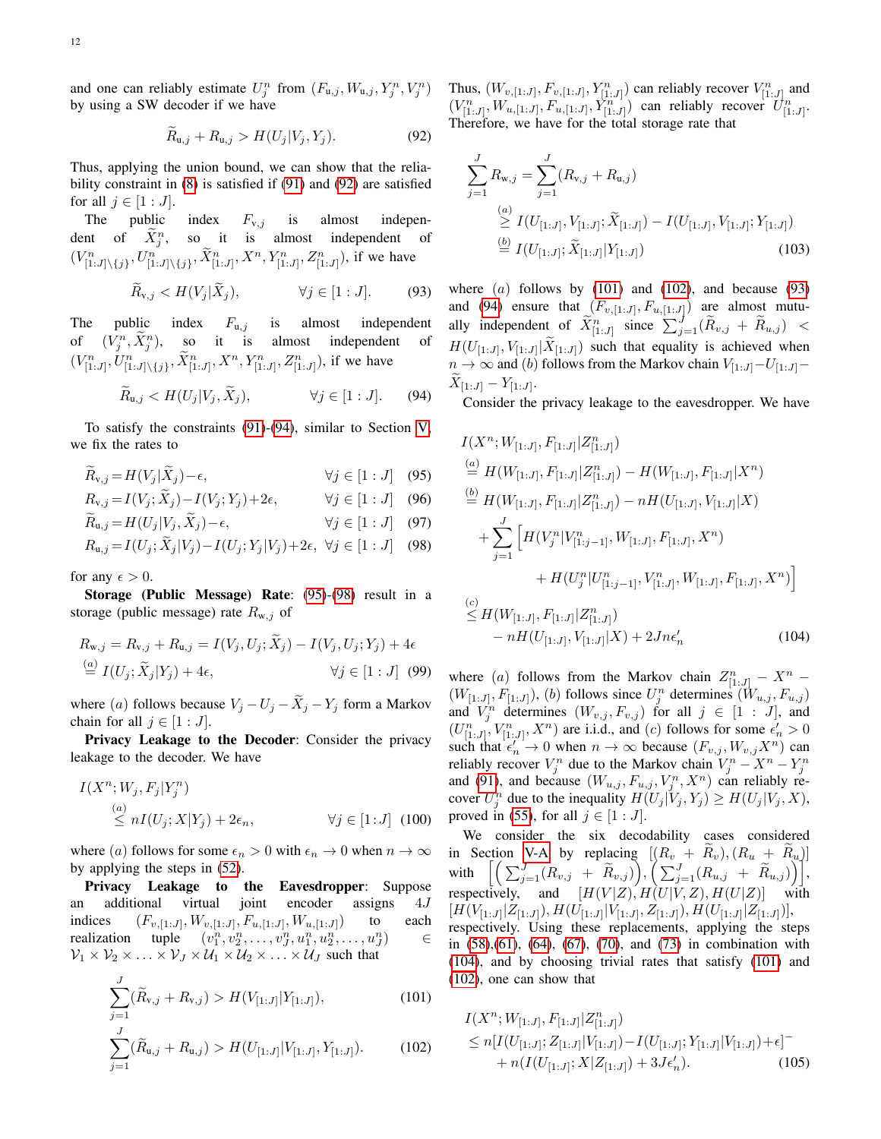and one can reliably estimate  $U_j^n$  from  $(F_{u,j}, W_{u,j}, Y_j^n, V_j^n)$ by using a SW decoder if we have

$$
\widetilde{R}_{u,j} + R_{u,j} > H(U_j | V_j, Y_j). \tag{92}
$$

Thus, applying the union bound, we can show that the reliability constraint in [\(8\)](#page-3-4) is satisfied if [\(91\)](#page-10-1) and [\(92\)](#page-11-0) are satisfied for all  $j \in [1:J]$ .

The public index  $F_{v,j}$  is almost independent of  $\tilde{X}_j^n$ , so it is almost independent of  $(V_{[1:J]\setminus\{j\}}^n, U_{[1:J]\setminus\{j\}}^n, \tilde{X}_{[1:J]}^n, X^n, Y_{[1:J]}^n, Z_{[1:J]}^n)$ , if we have

$$
\widetilde{R}_{v,j} < H(V_j | \widetilde{X}_j), \qquad \forall j \in [1:J]. \tag{93}
$$

The public index  $F_{u,j}$  is almost independent of  $(V_j^n, \tilde{X}_j^n)$ almost independent of  $(V_{[1:J]}^n, U_{[1:J]\setminus\{j\}}^n, \tilde{X}_{[1:J]}^n, X^n, Y_{[1:J]}^n, Z_{[1:J]}^n)$ , if we have

$$
\widetilde{R}_{u,j} < H(U_j | V_j, \widetilde{X}_j), \qquad \forall j \in [1:J]. \tag{94}
$$

To satisfy the constraints [\(91\)](#page-10-1)-[\(94\)](#page-11-1), similar to Section [V,](#page-6-0) we fix the rates to

$$
\widehat{R}_{v,j} = H(V_j | \widehat{X}_j) - \epsilon, \qquad \forall j \in [1:J] \quad (95)
$$

$$
R_{v,j} = I(V_j; X_j) - I(V_j; Y_j) + 2\epsilon, \qquad \forall j \in [1:J] \quad (96)
$$

$$
R_{u,j} = H(U_j | V_j, X_j) - \epsilon, \qquad \forall j \in [1:J] \quad (97)
$$

$$
R_{u,j} = I(U_j; \tilde{X}_j | V_j) - I(U_j; Y_j | V_j) + 2\epsilon, \ \forall j \in [1:J] \quad (98)
$$

for any  $\epsilon > 0$ .

 $\mathbf{L}$ 

Storage (Public Message) Rate: [\(95\)](#page-11-2)-[\(98\)](#page-11-3) result in a storage (public message) rate  $R_{w,j}$  of

$$
R_{w,j} = R_{v,j} + R_{u,j} = I(V_j, U_j; \tilde{X}_j) - I(V_j, U_j; Y_j) + 4\epsilon
$$
  
\n
$$
\stackrel{(a)}{=} I(U_j; \tilde{X}_j | Y_j) + 4\epsilon, \qquad \forall j \in [1:J] \quad (99)
$$

where (a) follows because  $V_j - U_j - \tilde{X}_j - Y_j$  form a Markov chain for all  $j \in [1 : J]$ .

Privacy Leakage to the Decoder: Consider the privacy leakage to the decoder. We have

$$
I(X^n; W_j, F_j | Y_j^n)
$$
  
\n
$$
\stackrel{(a)}{\leq} nI(U_j; X | Y_j) + 2\epsilon_n,
$$
  
\n
$$
\forall j \in [1:J] \quad (100)
$$

where (a) follows for some  $\epsilon_n > 0$  with  $\epsilon_n \to 0$  when  $n \to \infty$ by applying the steps in [\(52\)](#page-6-11).

Privacy Leakage to the Eavesdropper: Suppose an additional virtual joint encoder assigns 4J indices  $(F_{v, [1:J]}, W_{v, [1:J]}, F_{u, [1:J]}, W_{u, [1:J]})$  to each realization tuple  $(v_1^n, v_2^n, \ldots, v_J^n, u_1^n, u_2^n, \ldots, u_J^n)$  $\in$  $\mathcal{V}_1 \times \mathcal{V}_2 \times \ldots \times \mathcal{V}_J \times \mathcal{U}_1 \times \mathcal{U}_2 \times \ldots \times \mathcal{U}_J$  such that

$$
\sum_{j=1}^{J} (\widetilde{R}_{v,j} + R_{v,j}) > H(V_{[1:J]} | Y_{[1:J]}),
$$
\n(101)

$$
\sum_{j=1} (\widetilde{R}_{\mathbf{u},j} + R_{\mathbf{u},j}) > H(U_{[1:J]} | V_{[1:J]}, Y_{[1:J]}).
$$
 (102)

<span id="page-11-0"></span>Thus,  $(W_{v,[1:J]}, F_{v,[1:J]}, Y_{[1:J]}^n)$  can reliably recover  $V_{[1:J]}^n$  and  $(V_{[1:J]}^n, W_{u,[1:J]}, F_{u,[1:J]}^n, Y_{[1:J]}^n)$  can reliably recover  $U_{[1:J]}^n$ . Therefore, we have for the total storage rate that

$$
\sum_{j=1}^{J} R_{w,j} = \sum_{j=1}^{J} (R_{v,j} + R_{u,j})
$$
\n
$$
\geq I(U_{[1:J]}, V_{[1:J]}; \widetilde{X}_{[1:J]}) - I(U_{[1:J]}, V_{[1:J]}; Y_{[1:J]})
$$
\n
$$
\stackrel{(b)}{=} I(U_{[1:J]}; \widetilde{X}_{[1:J]} | Y_{[1:J]})
$$
\n(103)

<span id="page-11-6"></span>where  $(a)$  follows by  $(101)$  and  $(102)$ , and because  $(93)$ and [\(94\)](#page-11-1) ensure that  $(F_{v, [1:J]}, F_{u, [1:J]})$  are almost mutually independent of  $\widetilde{X}_{[1:J]}^n$  since  $\sum_{j=1}^J (\widetilde{R}_{v,j} + \widetilde{R}_{u,j}) <$  $H(U_{[1:J]}, V_{[1:J]} | X_{[1:J]})$  such that equality is achieved when  $n \to \infty$  and (b) follows from the Markov chain  $V_{[1:J]}-U_{[1:J]} X_{[1:J]} - Y_{[1:J]}.$ 

<span id="page-11-1"></span>Consider the privacy leakage to the eavesdropper. We have

<span id="page-11-3"></span><span id="page-11-2"></span>
$$
I(X^{n}; W_{[1:J]}, F_{[1:J]} | Z^{n}_{[1:J]})
$$
  
\n
$$
\stackrel{(a)}{=} H(W_{[1:J]}, F_{[1:J]} | Z^{n}_{[1:J]}) - H(W_{[1:J]}, F_{[1:J]} | X^{n})
$$
  
\n
$$
\stackrel{(b)}{=} H(W_{[1:J]}, F_{[1:J]} | Z^{n}_{[1:J]}) - nH(U_{[1:J]}, V_{[1:J]} | X)
$$
  
\n
$$
+ \sum_{j=1}^{J} \Big[ H(V^{n}_{j} | V^{n}_{[1:j-1]}, W_{[1:J]}, F_{[1:J]}, X^{n})
$$
  
\n
$$
+ H(U^{n}_{j} | U^{n}_{[1:j-1]}, V^{n}_{[1:J]}, W_{[1:J]}, F_{[1:J]}, X^{n}) \Big]
$$
  
\n
$$
\stackrel{(c)}{\leq} H(W_{[1:J]}, F_{[1:J]} | Z^{n}_{[1:J]})
$$
  
\n
$$
- nH(U_{[1:J]}, V_{[1:J]} | X) + 2Jn\epsilon'_{n}
$$
  
\n(104)

<span id="page-11-7"></span>where (a) follows from the Markov chain  $Z_{[1:J]}^n - X^n$  –  $(W_{[1:J]}, F_{[1:J]})$ , (b) follows since  $U_j^n$  determines  $(W_{u,j}, F_{u,j})$ and  $V_j^n$  determines  $(W_{v,j}, F_{v,j})$  for all  $j \in [1 : J]$ , and  $(U_{[1:J]}^n, V_{[1:J]}^n, X^n)$  are i.i.d., and  $(c)$  follows for some  $\epsilon'_n > 0$ such that  $\epsilon'_n \to 0$  when  $n \to \infty$  because  $(F_{v,j}, W_{v,j}X^n)$  can reliably recover  $V_j^n$  due to the Markov chain  $V_j^n - X^n - Y_j^n$ and [\(91\)](#page-10-1), and because  $(W_{u,j}, F_{u,j}, V_j^n, X^n)$  can reliably recover  $U_j^n$  due to the inequality  $H(U_j | V_j, Y_j) \ge H(U_j | V_j, X)$ , proved in [\(55\)](#page-7-4), for all  $j \in [1:J]$ .

We consider the six decodability cases considered in Section [V-A](#page-6-10) by replacing  $[(R_v + \overline{R}_v), (R_u + \overline{R}_u)]$ with  $\Big[\Big(\sum_{j=1}^J (R_{v,j} ~+~ \widetilde{R}_{v,j})\Big), \Big(\sum_{j=1}^J (R_{u,j} ~+~ \widetilde{R}_{u,j})\Big)\Big],$ respectively, and  $[H(V|Z), H(U|V, Z), H(U|Z)]$  with  $[H(V_{[1:J]}|Z_{[1:J]}),H(U_{[1:J]}|V_{[1:J]},Z_{[1:J]}),H(U_{[1:J]}|Z_{[1:J]})],$ respectively. Using these replacements, applying the steps in [\(58\)](#page-7-10),[\(61\)](#page-7-11), [\(64\)](#page-7-12), [\(67\)](#page-7-13), [\(70\)](#page-8-5), and [\(73\)](#page-8-6) in combination with [\(104\)](#page-11-7), and by choosing trivial rates that satisfy [\(101\)](#page-11-4) and [\(102\)](#page-11-5), one can show that

<span id="page-11-8"></span><span id="page-11-5"></span><span id="page-11-4"></span>
$$
I(X^{n}; W_{[1:J]}, F_{[1:J]} | Z^{n}_{[1:J]})
$$
  
\n
$$
\leq n[I(U_{[1:J]}; Z_{[1:J]} | V_{[1:J]}) - I(U_{[1:J]}; Y_{[1:J]} | V_{[1:J]}) + \epsilon]^{-}
$$
  
\n
$$
+ n(I(U_{[1:J]}; X | Z_{[1:J]}) + 3J\epsilon'_{n}).
$$
\n(105)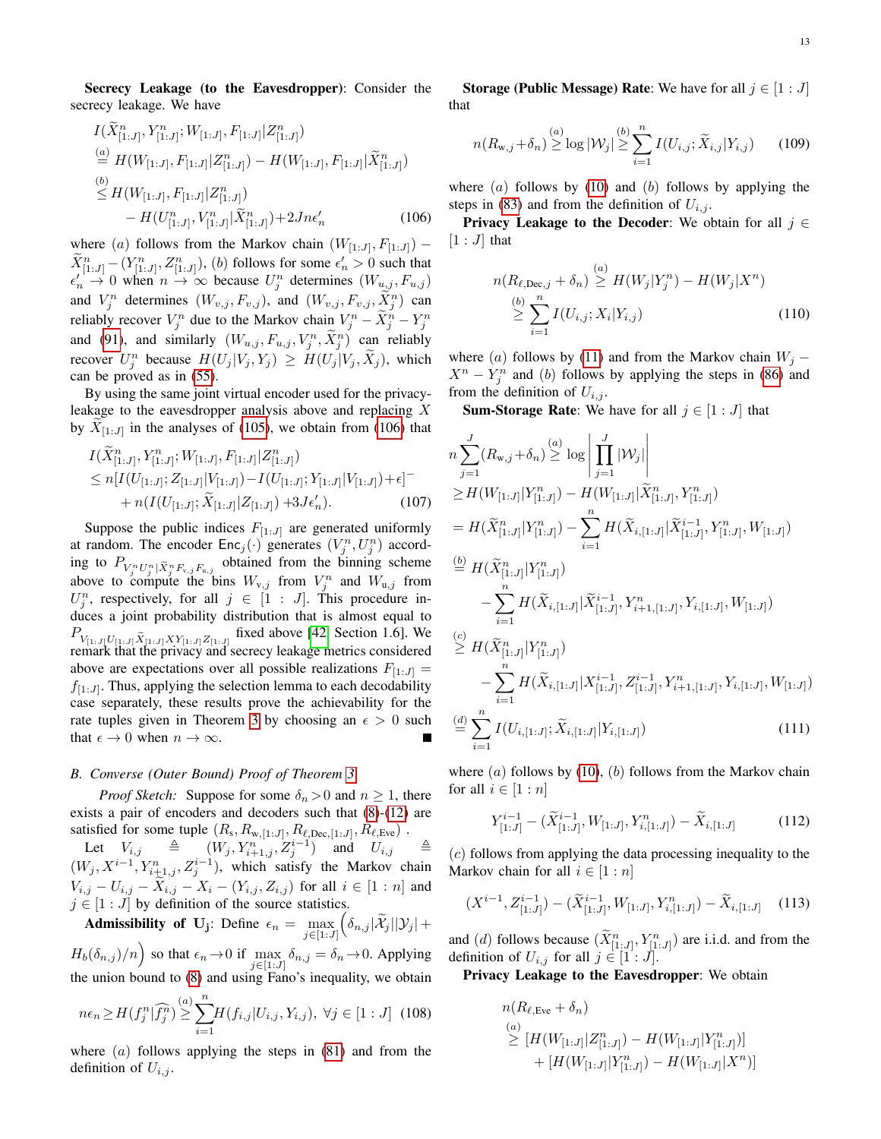Secrecy Leakage (to the Eavesdropper): Consider the secrecy leakage. We have

$$
I(\widetilde{X}_{[1:J]}^n, Y_{[1:J]}^n; W_{[1:J]}, F_{[1:J]} | Z_{[1:J]}^n)
$$
  
\n
$$
\stackrel{(a)}{=} H(W_{[1:J]}, F_{[1:J]} | Z_{[1:J]}^n) - H(W_{[1:J]}, F_{[1:J]} | \widetilde{X}_{[1:J]}^n)
$$
  
\n
$$
\stackrel{(b)}{\leq} H(W_{[1:J]}, F_{[1:J]} | Z_{[1:J]}^n)
$$
  
\n
$$
- H(U_{[1:J]}^n, V_{[1:J]}^n | \widetilde{X}_{[1:J]}^n) + 2Jn\epsilon'_n
$$
\n(106)

where (a) follows from the Markov chain  $(W_{[1:J]}, F_{[1:J]})$  –  $\widetilde{X}_{[1:J]}^n - (Y_{[1:J]}^n, Z_{[1:J]}^n)$ , (b) follows for some  $\epsilon'_n > 0$  such that  $\epsilon'_n \to 0$  when  $n \to \infty$  because  $U_j^n$  determines  $(W_{u,j}, F_{u,j})$ and  $V_j^n$  determines  $(W_{v,j}, F_{v,j})$ , and  $(W_{v,j}, F_{v,j}, \tilde{X}_j^n)$  can reliably recover  $V_j^n$  due to the Markov chain  $V_j^n - \tilde{X}_j^n - Y_j^n$ and [\(91\)](#page-10-1), and similarly  $(W_{u,j}, F_{u,j}, V_j^n, \tilde{X}_j^n)$  can reliably recover  $U_j^n$  because  $H(U_j | V_j, Y_j) \geq H(U_j | V_j, \tilde{X}_j)$ , which can be proved as in [\(55\)](#page-7-4).

By using the same joint virtual encoder used for the privacyleakage to the eavesdropper analysis above and replacing X by  $X_{[1:J]}$  in the analyses of [\(105\)](#page-11-8), we obtain from [\(106\)](#page-12-1) that

$$
I(\widetilde{X}_{[1:J]}^n, Y_{[1:J]}^n; W_{[1:J]}, F_{[1:J]} | Z_{[1:J]}^n)
$$
  
\n
$$
\leq n[I(U_{[1:J]}; Z_{[1:J]} | V_{[1:J]}) - I(U_{[1:J]}; Y_{[1:J]} | V_{[1:J]}) + \epsilon]^{-}
$$
  
\n
$$
+ n(I(U_{[1:J]}; \widetilde{X}_{[1:J]} | Z_{[1:J]}) + 3J\epsilon'_n).
$$
 (107)

Suppose the public indices  $F_{[1:J]}$  are generated uniformly at random. The encoder  $\textsf{Enc}_j(\cdot)$  generates  $(V_j^n, U_j^n)$  according to  $P_{V_j^n U_j^n | \tilde{X}_j^n F_{v,j} F_{u,j}}$  obtained from the binning scheme above to compute the bins  $W_{v,j}$  from  $V_j^n$  and  $W_{u,j}$  from  $U_j^n$ , respectively, for all  $j \in [1 : J]$ . This procedure induces a joint probability distribution that is almost equal to  $P_{V_{[1:J]}U_{[1:J]}\tilde{X}_{[1:J]}XY_{[1:J]}Z_{[1:J]}}$  fixed above [\[42,](#page-15-9) Section 1.6]. We remark that the privacy and secrecy leakage metrics considered above are expectations over all possible realizations  $F_{[1:J]} =$  $f_{[1:J]}$ . Thus, applying the selection lemma to each decodability case separately, these results prove the achievability for the rate tuples given in Theorem [3](#page-4-0) by choosing an  $\epsilon > 0$  such that  $\epsilon \to 0$  when  $n \to \infty$ .

#### *B. Converse (Outer Bound) Proof of Theorem [3](#page-4-0)*

*Proof Sketch:* Suppose for some  $\delta_n > 0$  and  $n \geq 1$ , there exists a pair of encoders and decoders such that [\(8\)](#page-3-4)-[\(12\)](#page-3-6) are satisfied for some tuple  $(R_s, R_{w,[1:J]}, R_{\ell,Dec,[1:J]}, R_{\ell, Eve})$ .

Let  $V_{i,j} \triangleq (W_j, Y_{i+1,j}^n, Z_j^{i-1})$  and  $U_{i,j} \triangleq$  $(W_j, X^{i-1}, Y_{i+1,j}^n, Z_j^{i-1})$ , which satisfy the Markov chain  $V_{i,j} - U_{i,j} - \tilde{X}_{i,j} - X_i - (Y_{i,j}, Z_{i,j})$  for all  $i \in [1:n]$  and  $j \in [1:J]$  by definition of the source statistics.

**Admissibility of U<sub>j</sub>:** Define 
$$
\epsilon_n = \max_{j \in [1:J]} \left( \delta_{n,j} |\mathcal{X}_j| |\mathcal{Y}_j| + H_b(\delta_{n,j})/n \right)
$$
 so that  $\epsilon_n \to 0$  if  $\max_{j \in [1:J]} \delta_{n,j} = \delta_n \to 0$ . Applying

the union bound to [\(8\)](#page-3-4) and using Fano's inequality, we obtain

$$
n\epsilon_n \ge H(f_j^n | \widehat{f_j^n}) \ge \sum_{i=1}^{(a)} H(f_{i,j} | U_{i,j}, Y_{i,j}), \ \forall j \in [1:J] \ (108)
$$

where  $(a)$  follows applying the steps in  $(81)$  and from the definition of  $U_{i,j}$ .

**Storage (Public Message) Rate:** We have for all  $j \in [1 : J]$ that

$$
n(R_{\mathbf{w},j} + \delta_n) \stackrel{(a)}{\geq} \log |\mathcal{W}_j| \stackrel{(b)}{\geq} \sum_{i=1}^n I(U_{i,j}; \widetilde{X}_{i,j} | Y_{i,j}) \tag{109}
$$

where  $(a)$  follows by  $(10)$  and  $(b)$  follows by applying the steps in [\(83\)](#page-9-5) and from the definition of  $U_{i,j}$ .

<span id="page-12-1"></span>**Privacy Leakage to the Decoder:** We obtain for all  $j \in$  $[1:J]$  that

$$
n(R_{\ell,Dec,j} + \delta_n) \stackrel{(a)}{\geq} H(W_j|Y_j^n) - H(W_j|X^n)
$$
  
\n
$$
\stackrel{(b)}{\geq} \sum_{i=1}^n I(U_{i,j}; X_i|Y_{i,j})
$$
 (110)

where (a) follows by [\(11\)](#page-3-3) and from the Markov chain  $W_j$  –  $X^n - Y_j^n$  and (b) follows by applying the steps in [\(86\)](#page-9-6) and from the definition of  $U_{i,j}$ .

**Sum-Storage Rate:** We have for all  $j \in [1 : J]$  that

$$
n\sum_{j=1}^{J} (R_{w,j} + \delta_n) \stackrel{(a)}{\geq} \log \left| \prod_{j=1}^{J} |\mathcal{W}_j| \right|
$$
  
\n
$$
\geq H(W_{[1:J]}|Y_{[1:J]}^n) - H(W_{[1:J]}|\tilde{X}_{[1:J]}^n, Y_{[1:J]}^n)
$$
  
\n
$$
= H(\tilde{X}_{[1:J]}^n|Y_{[1:J]}^n) - \sum_{i=1}^{n} H(\tilde{X}_{i,[1:J]}|\tilde{X}_{[1:J]}^{i-1}, Y_{[1:J]}^n, W_{[1:J]})
$$
  
\n
$$
\stackrel{(b)}{=} H(\tilde{X}_{[1:J]}^n|Y_{[1:J]}^n)
$$
  
\n
$$
- \sum_{i=1}^{n} H(\tilde{X}_{i,[1:J]}|\tilde{X}_{[1:J]}^{i-1}, Y_{i+1,[1:J]}^n, Y_{i,[1:J]}^n, W_{[1:J]})
$$
  
\n
$$
\stackrel{(c)}{\geq} H(\tilde{X}_{[1:J]}^n|Y_{[1:J]}^n)
$$
  
\n
$$
- \sum_{i=1}^{n} H(\tilde{X}_{i,[1:J]}|\tilde{X}_{[1:J]}^{i-1}, Z_{[1:J]}^{i-1}, Y_{i+1,[1:J]}^n, Y_{i,[1:J]}^n, W_{[1:J]})
$$
  
\n
$$
\stackrel{(d)}{=} \sum_{i=1}^{n} I(U_{i,[1:J]}; \tilde{X}_{i,[1:J]}|Y_{i,[1:J]})
$$
  
\n(111)

where  $(a)$  follows by  $(10)$ ,  $(b)$  follows from the Markov chain for all  $i \in [1:n]$ 

<span id="page-12-3"></span><span id="page-12-2"></span>
$$
Y_{[1:J]}^{i-1} - (\widetilde{X}_{[1:J]}^{i-1}, W_{[1:J]}, Y_{i,[1:J]}^n) - \widetilde{X}_{i,[1:J]} \tag{112}
$$

(c) follows from applying the data processing inequality to the Markov chain for all  $i \in [1:n]$ 

$$
(X^{i-1}, Z_{[1:J]}^{i-1}) - (\widetilde{X}_{[1:J]}^{i-1}, W_{[1:J]}, Y_{i,[1:J]}^n) - \widetilde{X}_{i,[1:J]} \quad (113)
$$

and (d) follows because  $(\tilde{X}_{[1:J]}^n, Y_{[1:J]}^n)$  are i.i.d. and from the definition of  $U_{i,j}$  for all  $j \in [1:J]$ .

<span id="page-12-0"></span>Privacy Leakage to the Eavesdropper: We obtain

$$
n(R_{\ell, Eve} + \delta_n)
$$
  
\n
$$
\geq [H(W_{[1:J]} | Z_{[1:J]}^n) - H(W_{[1:J]} | Y_{[1:J]}^n)]
$$
  
\n
$$
+ [H(W_{[1:J]} | Y_{[1:J]}^n) - H(W_{[1:J]} | X^n)]
$$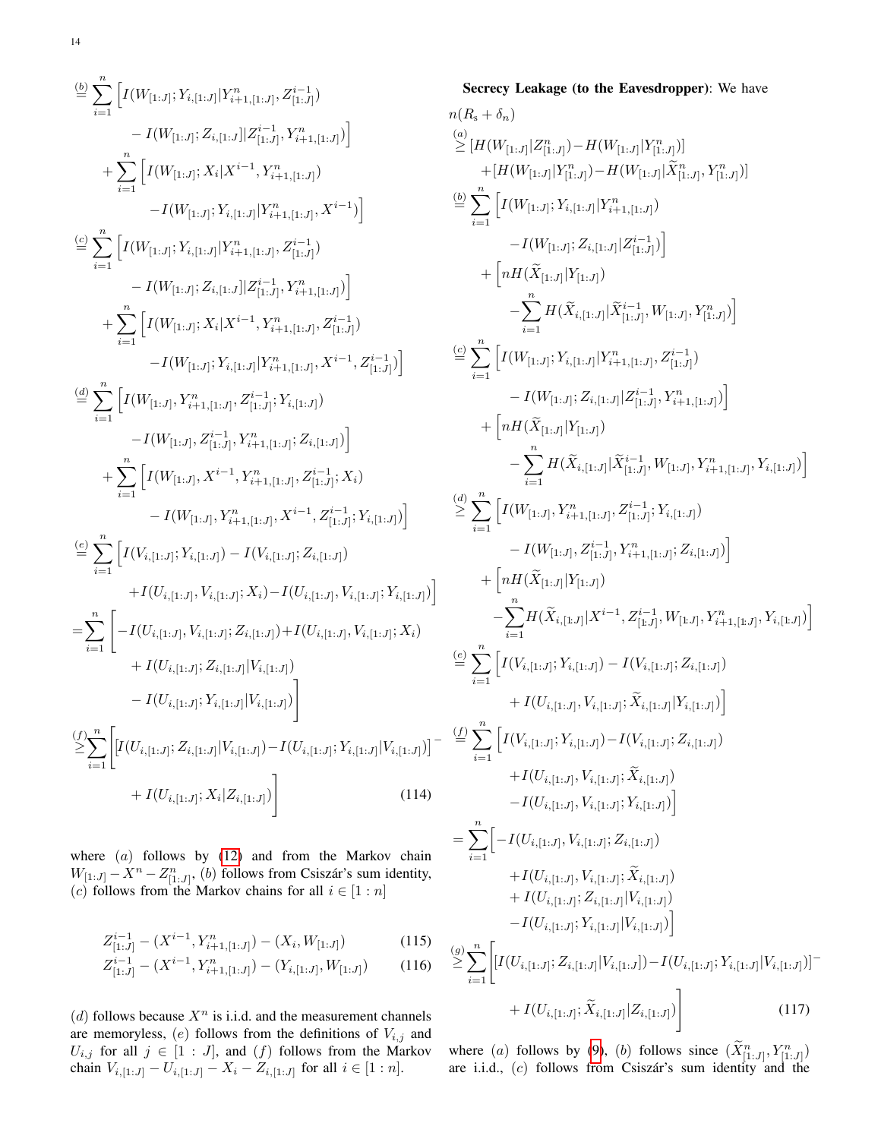$$
\begin{split}\n&\overset{(b)}{=} \sum_{i=1}^{n} \left[ I(W_{[1:J]}; Y_{i,[1:J]} | Y_{i+1,[1:J]}^n, Z_{[1:J]}^{i-1}) \right. \\
&\quad \left. \qquad \qquad - I(W_{[1:J]}; Z_{i,[1:J]} | Z_{[1:J]}^{i-1}, Y_{i+1,[1:J]}^n) \right] \\
&\quad \left. \qquad \qquad + \sum_{i=1}^{n} \left[ I(W_{[1:J]}; X_i | X^{i-1}, Y_{i+1,[1:J]}^n) \right. \\
&\quad \left. \qquad \qquad - I(W_{[1:J]}; Y_{i,[1:J]} | Y_{i+1,[1:J]}^n, Z_{[1:J]}^{i-1}) \right] \\
&\quad \qquad \left. \qquad \qquad - I(W_{[1:J]}; Y_{i,[1:J]} | Y_{i+1,[1:J]}^n, Z_{[1:J]}^{i-1}) \right) \\
&\quad \qquad \qquad + \sum_{i=1}^{n} \left[ I(W_{[1:J]}; Z_{i,[1:J]} | Z_{[1:J]}^{i-1}, Y_{i+1,[1:J]}^n) \right. \\
&\quad \qquad \qquad - I(W_{[1:J]}; Y_{i,[1:J]} | Y_{i+1,[1:J]}^n, Z_{[1:J]}^{i-1}) \right. \\
&\quad \qquad \left. \qquad \qquad - I(W_{[1:J]}; Y_{i,[1:J]} | Y_{i+1,[1:J]}^n, Z_{[1:J]}^{i-1}) \right] \\
&\quad \qquad \qquad - I(W_{[1:J]}, Y_{i+1,[1:J]}^n, Z_{[1:J]}^{i-1}; Y_{i,[1:J]}^n) \\
&\quad \qquad \qquad + \sum_{i=1}^{n} \left[ I(W_{[1:J]}, Y_{i+1,[1:J]}^n, Z_{[1:J]}^{i-1}; Y_{i,[1:J]}^n) \right. \\
&\quad \qquad \qquad \qquad + I(W_{[1:J]}, Y_{i+1,[1:J]}, Z_{i,[1:J]}^i, Y_{i,[1:J]}^n) \right. \\
&\quad \qquad \qquad \qquad + I(W_{[1:J]}, Y_{i,[1:J]}^n, Z_{i,[1:J]}^i, Y_{i,[1:J]}^i) \right) \\
&\quad \qquad \qquad =
$$

where  $(a)$  follows by  $(12)$  and from the Markov chain  $W_{[1:J]} - X^n - Z^n_{[1:J]},$  (b) follows from Csiszár's sum identity, (c) follows from the Markov chains for all  $i \in [1:n]$ 

$$
Z_{[1:J]}^{i-1} - (X^{i-1}, Y_{i+1,[1:J]}^n) - (X_i, W_{[1:J]})
$$
\n(115)

$$
Z_{[1:J]}^{i-1} - (X^{i-1}, Y_{i+1,[1:J]}^n) - (Y_{i,[1:J]}, W_{[1:J]}) \tag{116}
$$

(d) follows because  $X^n$  is i.i.d. and the measurement channels are memoryless,  $(e)$  follows from the definitions of  $V_{i,j}$  and  $U_{i,j}$  for all  $j \in [1 : J]$ , and  $(f)$  follows from the Markov chain  $V_{i,1:J} - U_{i,1:J} - X_i - Z_{i,1:J}$  for all  $i \in [1:n]$ .

$$
n(R_s + \delta_n)
$$
\n
$$
\sum_{i=1}^{(a)} [H(W_{[1:J]}|Z_{[1:J]}^n) - H(W_{[1:J]}|Y_{[1:J]}^n)]
$$
\n
$$
+ [H(W_{[1:J]}|Z_{[1:J]}^n) - H(W_{[1:J]}|\tilde{X}_{[1:J]}^n) \tilde{X}_{[1:J]}^n)]
$$
\n
$$
\stackrel{(b)}{=} \sum_{i=1}^{n} \Big[ I(W_{[1:J]}; Y_{i,[1:J]}|Y_{i+1,[1:J]}^n) - I(W_{[1:J]}Z_{i,[1:J]}^i) \Big] + \Big[ nH(\tilde{X}_{[1:J]}|Y_{[1:J]}^n) - \sum_{i=1}^{n} H(\tilde{X}_{i,[1:J]}|\tilde{X}_{[1:J]}^i) \Big]
$$
\n
$$
- I(W_{[1:J]}; Z_{i,[1:J]}|\tilde{X}_{[1:J]}^i, W_{[1:J]}, Y_{[1:J]}^n) \Big]
$$
\n
$$
\stackrel{(c)}{=} \sum_{i=1}^{n} \Big[ I(W_{[1:J]}; Y_{i,[1:J]}|Y_{i+1,[1:J]}^n, Z_{[1:J]}^i) - I(W_{[1:J]}; Z_{i,[1:J]}|Z_{[1:J]}^i, Y_{i+1,[1:J]}^n) \Big] + \Big[ nH(\tilde{X}_{[1:J]}|Y_{[1:J]}|)
$$
\n
$$
- \sum_{i=1}^{n} H(\tilde{X}_{i,[1:J]}|\tilde{X}_{[1:J]}^i, W_{[1:J]}, Y_{i+1,[1:J]}, Y_{i,[1:J]}^n) \Big]
$$
\n
$$
\leq \sum_{i=1}^{n} \Big[ I(W_{[1:J]}, Y_{i+1,[1:J]}, Z_{[1:J]}^i, Y_{i,[1:J]}^i, Y_{i+1,[1:J]}, Y_{i,[1:J]}^i) \Big] + \Big[ nH(\tilde{X}_{[1:J]}|Y_{[1:J]}^i, Y_{i+1,[1:J]}^i, Z_{i,[1:J]}^i) \Big] + \Big[ nH(\tilde{X}_{[1:J]}|Y_{[1:J]}, Y_{i+1,[1:J]}^i, Z_{i,[1:J]}^i
$$

Secrecy Leakage (to the Eavesdropper): We have

where (a) follows by [\(9\)](#page-3-5), (b) follows since  $(\tilde{X}_{[1:J]}^n, Y_{[1:J]}^n)$ are i.i.d.,  $(c)$  follows from Csiszár's sum identity and the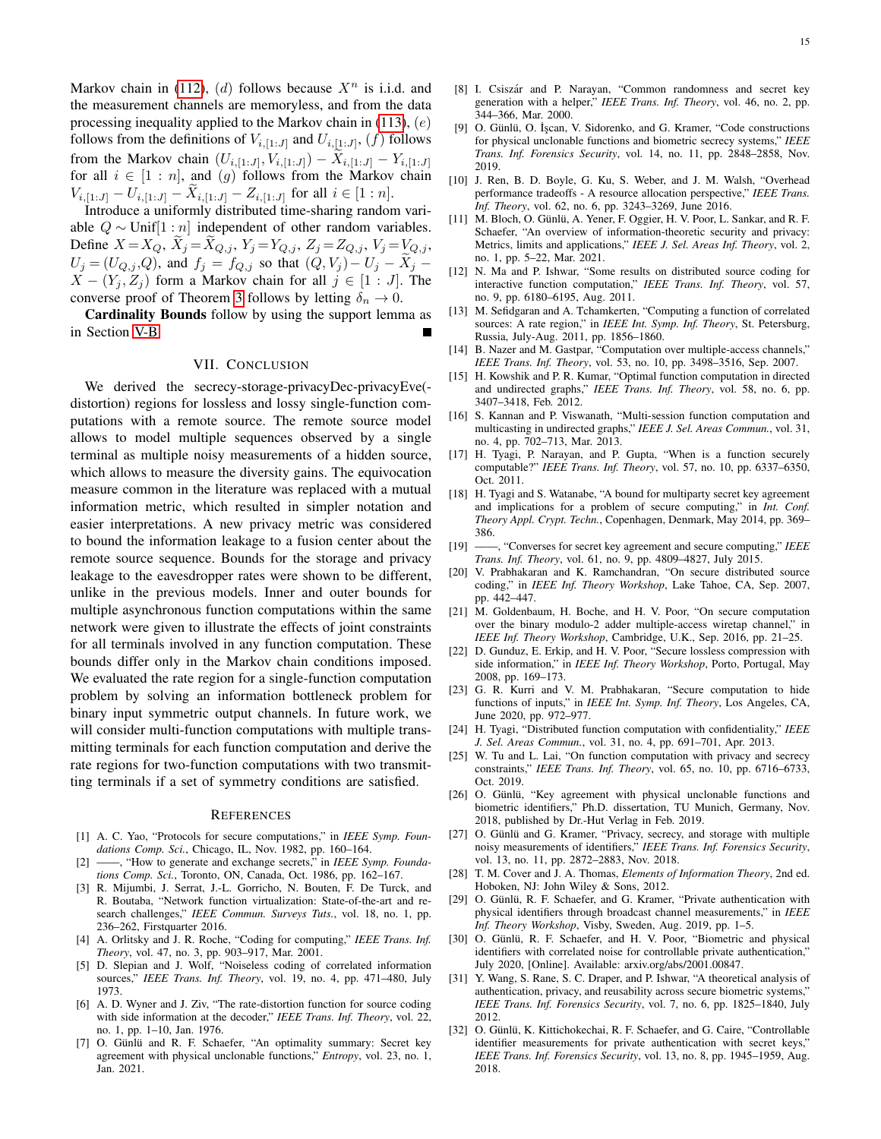Markov chain in [\(112\)](#page-12-2), (d) follows because  $X<sup>n</sup>$  is i.i.d. and the measurement channels are memoryless, and from the data processing inequality applied to the Markov chain in  $(113)$ ,  $(e)$ follows from the definitions of  $V_{i, [1:J]}$  and  $U_{i, [1:J]}$ ,  $(f)$  follows from the Markov chain  $(U_{i,[1:J]}, V_{i,[1:J]}) - X_{i,[1:J]} - Y_{i,[1:J]}$ for all  $i \in [1:n]$ , and  $(g)$  follows from the Markov chain  $V_{i,[1:J]} - U_{i,[1:J]} - X_{i,[1:J]} - Z_{i,[1:J]}$  for all  $i \in [1:n]$ .

Introduce a uniformly distributed time-sharing random variable  $Q \sim$  Unif[1 : *n*] independent of other random variables. Define  $X = X_Q$ ,  $X_j = X_{Q,j}$ ,  $Y_j = Y_{Q,j}$ ,  $Z_j = Z_{Q,j}$ ,  $V_j = V_{Q,j}$ ,  $U_j = (U_{Q,j}, Q)$ , and  $f_j = f_{Q,j}$  so that  $(Q, V_j) - U_j - \tilde{X}_j$  $X - (Y_i, Z_j)$  form a Markov chain for all  $j \in [1 : J]$ . The converse proof of Theorem [3](#page-4-0) follows by letting  $\delta_n \to 0$ .

Cardinality Bounds follow by using the support lemma as in Section [V-B.](#page-8-0)

## VII. CONCLUSION

<span id="page-14-21"></span>We derived the secrecy-storage-privacyDec-privacyEve( distortion) regions for lossless and lossy single-function computations with a remote source. The remote source model allows to model multiple sequences observed by a single terminal as multiple noisy measurements of a hidden source, which allows to measure the diversity gains. The equivocation measure common in the literature was replaced with a mutual information metric, which resulted in simpler notation and easier interpretations. A new privacy metric was considered to bound the information leakage to a fusion center about the remote source sequence. Bounds for the storage and privacy leakage to the eavesdropper rates were shown to be different, unlike in the previous models. Inner and outer bounds for multiple asynchronous function computations within the same network were given to illustrate the effects of joint constraints for all terminals involved in any function computation. These bounds differ only in the Markov chain conditions imposed. We evaluated the rate region for a single-function computation problem by solving an information bottleneck problem for binary input symmetric output channels. In future work, we will consider multi-function computations with multiple transmitting terminals for each function computation and derive the rate regions for two-function computations with two transmitting terminals if a set of symmetry conditions are satisfied.

#### **REFERENCES**

- <span id="page-14-0"></span>[1] A. C. Yao, "Protocols for secure computations," in *IEEE Symp. Foundations Comp. Sci.*, Chicago, IL, Nov. 1982, pp. 160–164.
- <span id="page-14-1"></span>[2] ——, "How to generate and exchange secrets," in *IEEE Symp. Foundations Comp. Sci.*, Toronto, ON, Canada, Oct. 1986, pp. 162–167.
- <span id="page-14-2"></span>[3] R. Mijumbi, J. Serrat, J.-L. Gorricho, N. Bouten, F. De Turck, and R. Boutaba, "Network function virtualization: State-of-the-art and research challenges," *IEEE Commun. Surveys Tuts.*, vol. 18, no. 1, pp. 236–262, Firstquarter 2016.
- <span id="page-14-3"></span>[4] A. Orlitsky and J. R. Roche, "Coding for computing," *IEEE Trans. Inf. Theory*, vol. 47, no. 3, pp. 903–917, Mar. 2001.
- <span id="page-14-4"></span>[5] D. Slepian and J. Wolf, "Noiseless coding of correlated information sources," *IEEE Trans. Inf. Theory*, vol. 19, no. 4, pp. 471–480, July 1973.
- <span id="page-14-5"></span>[6] A. D. Wyner and J. Ziv, "The rate-distortion function for source coding with side information at the decoder," *IEEE Trans. Inf. Theory*, vol. 22, no. 1, pp. 1–10, Jan. 1976.
- <span id="page-14-6"></span>[7] O. Günlü and R. F. Schaefer, "An optimality summary: Secret key agreement with physical unclonable functions," *Entropy*, vol. 23, no. 1, Jan. 2021.
- [8] I. Csiszár and P. Narayan, "Common randomness and secret key generation with a helper," *IEEE Trans. Inf. Theory*, vol. 46, no. 2, pp. 344–366, Mar. 2000.
- [9] O. Günlü, O. İşcan, V. Sidorenko, and G. Kramer, "Code constructions for physical unclonable functions and biometric secrecy systems," *IEEE Trans. Inf. Forensics Security*, vol. 14, no. 11, pp. 2848–2858, Nov. 2019.
- [10] J. Ren, B. D. Boyle, G. Ku, S. Weber, and J. M. Walsh, "Overhead performance tradeoffs - A resource allocation perspective," *IEEE Trans. Inf. Theory*, vol. 62, no. 6, pp. 3243–3269, June 2016.
- <span id="page-14-7"></span>[11] M. Bloch, O. Günlü, A. Yener, F. Oggier, H. V. Poor, L. Sankar, and R. F. Schaefer, "An overview of information-theoretic security and privacy: Metrics, limits and applications," *IEEE J. Sel. Areas Inf. Theory*, vol. 2, no. 1, pp. 5–22, Mar. 2021.
- <span id="page-14-8"></span>[12] N. Ma and P. Ishwar, "Some results on distributed source coding for interactive function computation," *IEEE Trans. Inf. Theory*, vol. 57, no. 9, pp. 6180–6195, Aug. 2011.
- [13] M. Sefidgaran and A. Tchamkerten, "Computing a function of correlated sources: A rate region," in *IEEE Int. Symp. Inf. Theory*, St. Petersburg, Russia, July-Aug. 2011, pp. 1856–1860.
- [14] B. Nazer and M. Gastpar, "Computation over multiple-access channels," *IEEE Trans. Inf. Theory*, vol. 53, no. 10, pp. 3498–3516, Sep. 2007.
- [15] H. Kowshik and P. R. Kumar, "Optimal function computation in directed and undirected graphs," *IEEE Trans. Inf. Theory*, vol. 58, no. 6, pp. 3407–3418, Feb. 2012.
- <span id="page-14-9"></span>[16] S. Kannan and P. Viswanath, "Multi-session function computation and multicasting in undirected graphs," *IEEE J. Sel. Areas Commun.*, vol. 31, no. 4, pp. 702–713, Mar. 2013.
- <span id="page-14-10"></span>[17] H. Tyagi, P. Narayan, and P. Gupta, "When is a function securely computable?" *IEEE Trans. Inf. Theory*, vol. 57, no. 10, pp. 6337–6350, Oct. 2011.
- <span id="page-14-11"></span>[18] H. Tyagi and S. Watanabe, "A bound for multiparty secret key agreement and implications for a problem of secure computing," in *Int. Conf. Theory Appl. Crypt. Techn.*, Copenhagen, Denmark, May 2014, pp. 369– 386.
- [19] ——, "Converses for secret key agreement and secure computing," *IEEE Trans. Inf. Theory*, vol. 61, no. 9, pp. 4809–4827, July 2015.
- [20] V. Prabhakaran and K. Ramchandran, "On secure distributed source coding," in *IEEE Inf. Theory Workshop*, Lake Tahoe, CA, Sep. 2007, pp. 442–447.
- [21] M. Goldenbaum, H. Boche, and H. V. Poor, "On secure computation over the binary modulo-2 adder multiple-access wiretap channel," in *IEEE Inf. Theory Workshop*, Cambridge, U.K., Sep. 2016, pp. 21–25.
- [22] D. Gunduz, E. Erkip, and H. V. Poor, "Secure lossless compression with side information," in *IEEE Inf. Theory Workshop*, Porto, Portugal, May 2008, pp. 169–173.
- [23] G. R. Kurri and V. M. Prabhakaran, "Secure computation to hide functions of inputs," in *IEEE Int. Symp. Inf. Theory*, Los Angeles, CA, June 2020, pp. 972–977.
- <span id="page-14-12"></span>[24] H. Tyagi, "Distributed function computation with confidentiality," *IEEE J. Sel. Areas Commun.*, vol. 31, no. 4, pp. 691–701, Apr. 2013.
- <span id="page-14-13"></span>[25] W. Tu and L. Lai, "On function computation with privacy and secrecy constraints," *IEEE Trans. Inf. Theory*, vol. 65, no. 10, pp. 6716–6733, Oct. 2019.
- <span id="page-14-14"></span>[26] O. Günlü, "Key agreement with physical unclonable functions and biometric identifiers," Ph.D. dissertation, TU Munich, Germany, Nov. 2018, published by Dr.-Hut Verlag in Feb. 2019.
- <span id="page-14-15"></span>[27] O. Günlü and G. Kramer, "Privacy, secrecy, and storage with multiple noisy measurements of identifiers," *IEEE Trans. Inf. Forensics Security*, vol. 13, no. 11, pp. 2872–2883, Nov. 2018.
- <span id="page-14-16"></span>[28] T. M. Cover and J. A. Thomas, *Elements of Information Theory*, 2nd ed. Hoboken, NJ: John Wiley & Sons, 2012.
- <span id="page-14-17"></span>[29] O. Günlü, R. F. Schaefer, and G. Kramer, "Private authentication with physical identifiers through broadcast channel measurements," in *IEEE Inf. Theory Workshop*, Visby, Sweden, Aug. 2019, pp. 1–5.
- <span id="page-14-18"></span>[30] O. Günlü, R. F. Schaefer, and H. V. Poor, "Biometric and physical identifiers with correlated noise for controllable private authentication," July 2020, [Online]. Available: arxiv.org/abs/2001.00847.
- <span id="page-14-19"></span>[31] Y. Wang, S. Rane, S. C. Draper, and P. Ishwar, "A theoretical analysis of authentication, privacy, and reusability across secure biometric systems," *IEEE Trans. Inf. Forensics Security*, vol. 7, no. 6, pp. 1825–1840, July 2012.
- <span id="page-14-20"></span>[32] O. Günlü, K. Kittichokechai, R. F. Schaefer, and G. Caire, "Controllable identifier measurements for private authentication with secret keys," *IEEE Trans. Inf. Forensics Security*, vol. 13, no. 8, pp. 1945–1959, Aug. 2018.